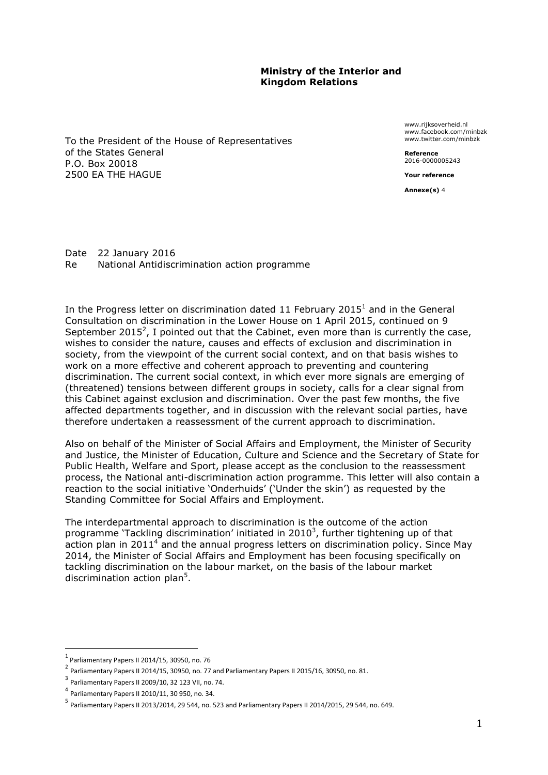### **Ministry of the Interior and Kingdom Relations**

To the President of the House of Representatives of the States General P.O. Box 20018 2500 EA THE HAGUE

www.rijksoverheid.nl www.facebook.com/minbzk www.twitter.com/minbzk

**Reference**  2016-0000005243

**Your reference**

**Annexe(s)** 4

Date 22 January 2016 Re National Antidiscrimination action programme

In the Progress letter on discrimination dated 11 February 2015<sup>1</sup> and in the General Consultation on discrimination in the Lower House on 1 April 2015, continued on 9 September 2015<sup>2</sup>, I pointed out that the Cabinet, even more than is currently the case, wishes to consider the nature, causes and effects of exclusion and discrimination in society, from the viewpoint of the current social context, and on that basis wishes to work on a more effective and coherent approach to preventing and countering discrimination. The current social context, in which ever more signals are emerging of (threatened) tensions between different groups in society, calls for a clear signal from this Cabinet against exclusion and discrimination. Over the past few months, the five affected departments together, and in discussion with the relevant social parties, have therefore undertaken a reassessment of the current approach to discrimination.

Also on behalf of the Minister of Social Affairs and Employment, the Minister of Security and Justice, the Minister of Education, Culture and Science and the Secretary of State for Public Health, Welfare and Sport, please accept as the conclusion to the reassessment process, the National anti-discrimination action programme. This letter will also contain a reaction to the social initiative 'Onderhuids' ('Under the skin') as requested by the Standing Committee for Social Affairs and Employment.

The interdepartmental approach to discrimination is the outcome of the action programme 'Tackling discrimination' initiated in 2010<sup>3</sup>, further tightening up of that action plan in 2011 $4$  and the annual progress letters on discrimination policy. Since May 2014, the Minister of Social Affairs and Employment has been focusing specifically on tackling discrimination on the labour market, on the basis of the labour market discrimination action plan<sup>5</sup>.

<sup>1</sup> Parliamentary Papers II 2014/15, 30950, no. 76

 $^2$  Parliamentary Papers II 2014/15, 30950, no. 77 and Parliamentary Papers II 2015/16, 30950, no. 81.

 $3$  Parliamentary Papers II 2009/10, 32 123 VII, no. 74.

<sup>4</sup> Parliamentary Papers II 2010/11, 30 950, no. 34.

<sup>&</sup>lt;sup>5</sup> Parliamentary Papers II 2013/2014, 29 544, no. 523 and Parliamentary Papers II 2014/2015, 29 544, no. 649.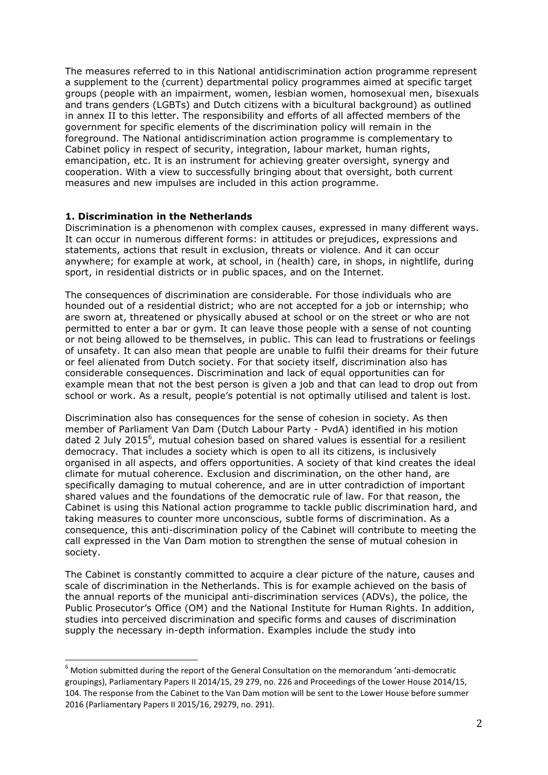The measures referred to in this National antidiscrimination action programme represent a supplement to the (current) departmental policy programmes aimed at specific target groups (people with an impairment, women, lesbian women, homosexual men, bisexuals and trans genders (LGBTs) and Dutch citizens with a bicultural background) as outlined in annex II to this letter. The responsibility and efforts of all affected members of the government for specific elements of the discrimination policy will remain in the foreground. The National antidiscrimination action programme is complementary to Cabinet policy in respect of security, integration, labour market, human rights, emancipation, etc. It is an instrument for achieving greater oversight, synergy and cooperation. With a view to successfully bringing about that oversight, both current measures and new impulses are included in this action programme.

### **1. Discrimination in the Netherlands**

<u>.</u>

Discrimination is a phenomenon with complex causes, expressed in many different ways. It can occur in numerous different forms: in attitudes or prejudices, expressions and statements, actions that result in exclusion, threats or violence. And it can occur anywhere; for example at work, at school, in (health) care, in shops, in nightlife, during sport, in residential districts or in public spaces, and on the Internet.

The consequences of discrimination are considerable. For those individuals who are hounded out of a residential district; who are not accepted for a job or internship; who are sworn at, threatened or physically abused at school or on the street or who are not permitted to enter a bar or gym. It can leave those people with a sense of not counting or not being allowed to be themselves, in public. This can lead to frustrations or feelings of unsafety. It can also mean that people are unable to fulfil their dreams for their future or feel alienated from Dutch society. For that society itself, discrimination also has considerable consequences. Discrimination and lack of equal opportunities can for example mean that not the best person is given a job and that can lead to drop out from school or work. As a result, people's potential is not optimally utilised and talent is lost.

Discrimination also has consequences for the sense of cohesion in society. As then member of Parliament Van Dam (Dutch Labour Party - PvdA) identified in his motion dated 2 July 2015 $<sup>6</sup>$ , mutual cohesion based on shared values is essential for a resilient</sup> democracy. That includes a society which is open to all its citizens, is inclusively organised in all aspects, and offers opportunities. A society of that kind creates the ideal climate for mutual coherence. Exclusion and discrimination, on the other hand, are specifically damaging to mutual coherence, and are in utter contradiction of important shared values and the foundations of the democratic rule of law. For that reason, the Cabinet is using this National action programme to tackle public discrimination hard, and taking measures to counter more unconscious, subtle forms of discrimination. As a consequence, this anti-discrimination policy of the Cabinet will contribute to meeting the call expressed in the Van Dam motion to strengthen the sense of mutual cohesion in society.

The Cabinet is constantly committed to acquire a clear picture of the nature, causes and scale of discrimination in the Netherlands. This is for example achieved on the basis of the annual reports of the municipal anti-discrimination services (ADVs), the police, the Public Prosecutor's Office (OM) and the National Institute for Human Rights. In addition, studies into perceived discrimination and specific forms and causes of discrimination supply the necessary in-depth information. Examples include the study into

 $6$  Motion submitted during the report of the General Consultation on the memorandum 'anti-democratic groupings), Parliamentary Papers II 2014/15, 29 279, no. 226 and Proceedings of the Lower House 2014/15, 104. The response from the Cabinet to the Van Dam motion will be sent to the Lower House before summer 2016 (Parliamentary Papers II 2015/16, 29279, no. 291).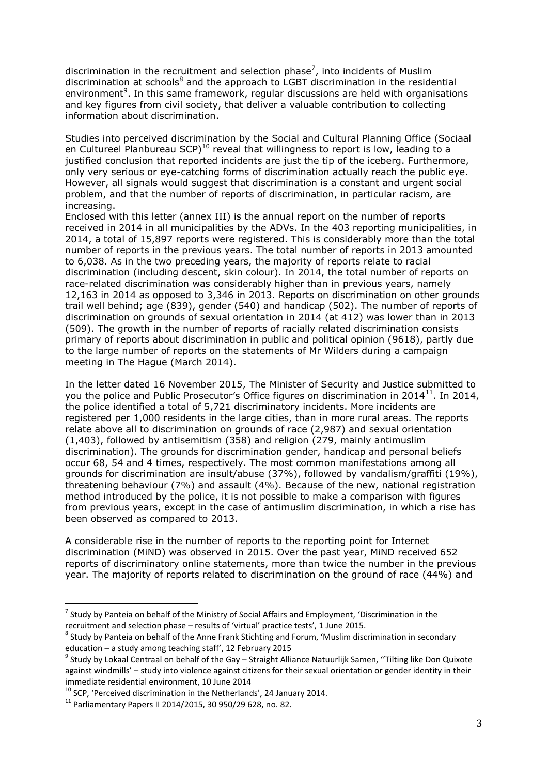discrimination in the recruitment and selection phase<sup>7</sup>, into incidents of Muslim discrimination at schools<sup>8</sup> and the approach to LGBT discrimination in the residential environment<sup>9</sup>. In this same framework, regular discussions are held with organisations and key figures from civil society, that deliver a valuable contribution to collecting information about discrimination.

Studies into perceived discrimination by the Social and Cultural Planning Office (Sociaal en Cultureel Planbureau  $\text{SCP}^{10}$  reveal that willingness to report is low, leading to a justified conclusion that reported incidents are just the tip of the iceberg. Furthermore, only very serious or eye-catching forms of discrimination actually reach the public eye. However, all signals would suggest that discrimination is a constant and urgent social problem, and that the number of reports of discrimination, in particular racism, are increasing.

Enclosed with this letter (annex III) is the annual report on the number of reports received in 2014 in all municipalities by the ADVs. In the 403 reporting municipalities, in 2014, a total of 15,897 reports were registered. This is considerably more than the total number of reports in the previous years. The total number of reports in 2013 amounted to 6,038. As in the two preceding years, the majority of reports relate to racial discrimination (including descent, skin colour). In 2014, the total number of reports on race-related discrimination was considerably higher than in previous years, namely 12,163 in 2014 as opposed to 3,346 in 2013. Reports on discrimination on other grounds trail well behind; age (839), gender (540) and handicap (502). The number of reports of discrimination on grounds of sexual orientation in 2014 (at 412) was lower than in 2013 (509). The growth in the number of reports of racially related discrimination consists primary of reports about discrimination in public and political opinion (9618), partly due to the large number of reports on the statements of Mr Wilders during a campaign meeting in The Hague (March 2014).

In the letter dated 16 November 2015, The Minister of Security and Justice submitted to you the police and Public Prosecutor's Office figures on discrimination in 2014<sup>11</sup>. In 2014, the police identified a total of 5,721 discriminatory incidents. More incidents are registered per 1,000 residents in the large cities, than in more rural areas. The reports relate above all to discrimination on grounds of race (2,987) and sexual orientation (1,403), followed by antisemitism (358) and religion (279, mainly antimuslim discrimination). The grounds for discrimination gender, handicap and personal beliefs occur 68, 54 and 4 times, respectively. The most common manifestations among all grounds for discrimination are insult/abuse (37%), followed by vandalism/graffiti (19%), threatening behaviour (7%) and assault (4%). Because of the new, national registration method introduced by the police, it is not possible to make a comparison with figures from previous years, except in the case of antimuslim discrimination, in which a rise has been observed as compared to 2013.

A considerable rise in the number of reports to the reporting point for Internet discrimination (MiND) was observed in 2015. Over the past year, MiND received 652 reports of discriminatory online statements, more than twice the number in the previous year. The majority of reports related to discrimination on the ground of race (44%) and

<sup>8</sup> Study by Panteia on behalf of the Anne Frank Stichting and Forum, 'Muslim discrimination in secondary education – a study among teaching staff', 12 February 2015

 $^7$  Study by Panteia on behalf of the Ministry of Social Affairs and Employment, 'Discrimination in the recruitment and selection phase – results of 'virtual' practice tests', 1 June 2015.

<sup>&</sup>lt;sup>9</sup> Study by Lokaal Centraal on behalf of the Gay – Straight Alliance Natuurlijk Samen, "Tilting like Don Quixote against windmills' – study into violence against citizens for their sexual orientation or gender identity in their immediate residential environment, 10 June 2014

<sup>&</sup>lt;sup>10</sup> SCP, 'Perceived discrimination in the Netherlands', 24 January 2014.

 $11$  Parliamentary Papers II 2014/2015, 30 950/29 628, no. 82.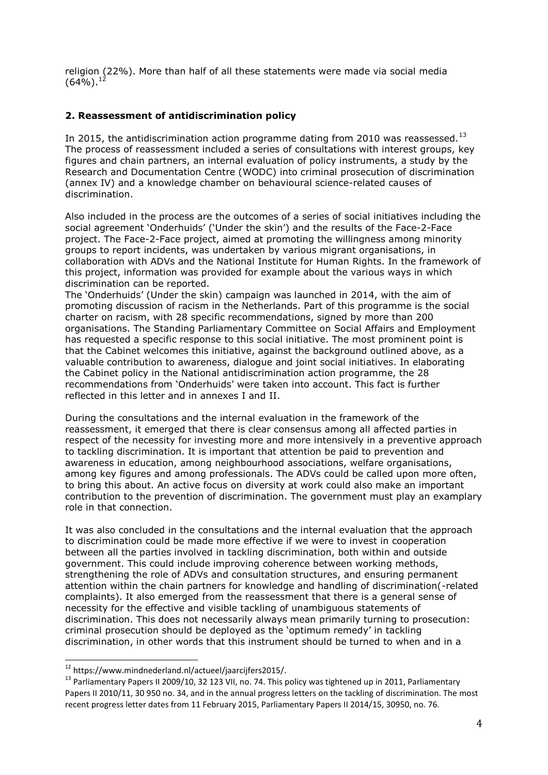religion (22%). More than half of all these statements were made via social media  $(64\%)$ <sup>12</sup>

# **2. Reassessment of antidiscrimination policy**

In 2015, the antidiscrimination action programme dating from 2010 was reassessed.<sup>13</sup> The process of reassessment included a series of consultations with interest groups, key figures and chain partners, an internal evaluation of policy instruments, a study by the Research and Documentation Centre (WODC) into criminal prosecution of discrimination (annex IV) and a knowledge chamber on behavioural science-related causes of discrimination.

Also included in the process are the outcomes of a series of social initiatives including the social agreement 'Onderhuids' ('Under the skin') and the results of the Face-2-Face project. The Face-2-Face project, aimed at promoting the willingness among minority groups to report incidents, was undertaken by various migrant organisations, in collaboration with ADVs and the National Institute for Human Rights. In the framework of this project, information was provided for example about the various ways in which discrimination can be reported.

The 'Onderhuids' (Under the skin) campaign was launched in 2014, with the aim of promoting discussion of racism in the Netherlands. Part of this programme is the social charter on racism, with 28 specific recommendations, signed by more than 200 organisations. The Standing Parliamentary Committee on Social Affairs and Employment has requested a specific response to this social initiative. The most prominent point is that the Cabinet welcomes this initiative, against the background outlined above, as a valuable contribution to awareness, dialogue and joint social initiatives. In elaborating the Cabinet policy in the National antidiscrimination action programme, the 28 recommendations from 'Onderhuids' were taken into account. This fact is further reflected in this letter and in annexes I and II.

During the consultations and the internal evaluation in the framework of the reassessment, it emerged that there is clear consensus among all affected parties in respect of the necessity for investing more and more intensively in a preventive approach to tackling discrimination. It is important that attention be paid to prevention and awareness in education, among neighbourhood associations, welfare organisations, among key figures and among professionals. The ADVs could be called upon more often, to bring this about. An active focus on diversity at work could also make an important contribution to the prevention of discrimination. The government must play an examplary role in that connection.

It was also concluded in the consultations and the internal evaluation that the approach to discrimination could be made more effective if we were to invest in cooperation between all the parties involved in tackling discrimination, both within and outside government. This could include improving coherence between working methods, strengthening the role of ADVs and consultation structures, and ensuring permanent attention within the chain partners for knowledge and handling of discrimination(-related complaints). It also emerged from the reassessment that there is a general sense of necessity for the effective and visible tackling of unambiguous statements of discrimination. This does not necessarily always mean primarily turning to prosecution: criminal prosecution should be deployed as the 'optimum remedy' in tackling discrimination, in other words that this instrument should be turned to when and in a

<sup>&</sup>lt;sup>12</sup> https://www.mindnederland.nl/actueel/jaarcijfers2015/.

<sup>&</sup>lt;sup>13</sup> Parliamentary Papers II 2009/10, 32 123 VII, no. 74. This policy was tightened up in 2011, Parliamentary Papers II 2010/11, 30 950 no. 34, and in the annual progress letters on the tackling of discrimination. The most recent progress letter dates from 11 February 2015, Parliamentary Papers II 2014/15, 30950, no. 76.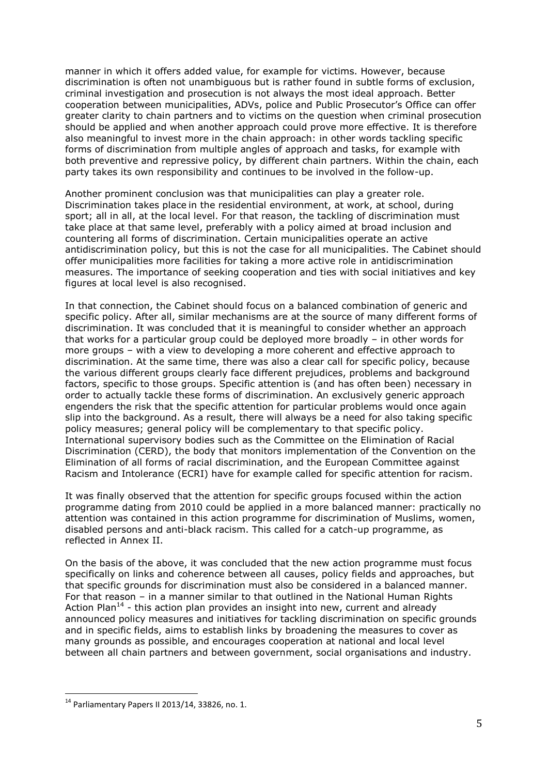manner in which it offers added value, for example for victims. However, because discrimination is often not unambiguous but is rather found in subtle forms of exclusion, criminal investigation and prosecution is not always the most ideal approach. Better cooperation between municipalities, ADVs, police and Public Prosecutor's Office can offer greater clarity to chain partners and to victims on the question when criminal prosecution should be applied and when another approach could prove more effective. It is therefore also meaningful to invest more in the chain approach: in other words tackling specific forms of discrimination from multiple angles of approach and tasks, for example with both preventive and repressive policy, by different chain partners. Within the chain, each party takes its own responsibility and continues to be involved in the follow-up.

Another prominent conclusion was that municipalities can play a greater role. Discrimination takes place in the residential environment, at work, at school, during sport; all in all, at the local level. For that reason, the tackling of discrimination must take place at that same level, preferably with a policy aimed at broad inclusion and countering all forms of discrimination. Certain municipalities operate an active antidiscrimination policy, but this is not the case for all municipalities. The Cabinet should offer municipalities more facilities for taking a more active role in antidiscrimination measures. The importance of seeking cooperation and ties with social initiatives and key figures at local level is also recognised.

In that connection, the Cabinet should focus on a balanced combination of generic and specific policy. After all, similar mechanisms are at the source of many different forms of discrimination. It was concluded that it is meaningful to consider whether an approach that works for a particular group could be deployed more broadly – in other words for more groups – with a view to developing a more coherent and effective approach to discrimination. At the same time, there was also a clear call for specific policy, because the various different groups clearly face different prejudices, problems and background factors, specific to those groups. Specific attention is (and has often been) necessary in order to actually tackle these forms of discrimination. An exclusively generic approach engenders the risk that the specific attention for particular problems would once again slip into the background. As a result, there will always be a need for also taking specific policy measures; general policy will be complementary to that specific policy. International supervisory bodies such as the Committee on the Elimination of Racial Discrimination (CERD), the body that monitors implementation of the Convention on the Elimination of all forms of racial discrimination, and the European Committee against Racism and Intolerance (ECRI) have for example called for specific attention for racism.

It was finally observed that the attention for specific groups focused within the action programme dating from 2010 could be applied in a more balanced manner: practically no attention was contained in this action programme for discrimination of Muslims, women, disabled persons and anti-black racism. This called for a catch-up programme, as reflected in Annex II.

On the basis of the above, it was concluded that the new action programme must focus specifically on links and coherence between all causes, policy fields and approaches, but that specific grounds for discrimination must also be considered in a balanced manner. For that reason – in a manner similar to that outlined in the National Human Rights Action Plan<sup>14</sup> - this action plan provides an insight into new, current and already announced policy measures and initiatives for tackling discrimination on specific grounds and in specific fields, aims to establish links by broadening the measures to cover as many grounds as possible, and encourages cooperation at national and local level between all chain partners and between government, social organisations and industry.

 $^{14}$  Parliamentary Papers II 2013/14, 33826, no. 1.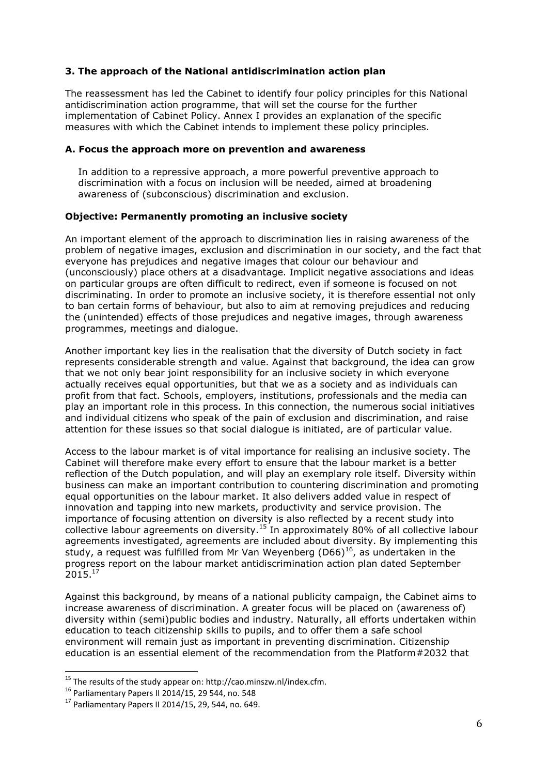## **3. The approach of the National antidiscrimination action plan**

The reassessment has led the Cabinet to identify four policy principles for this National antidiscrimination action programme, that will set the course for the further implementation of Cabinet Policy. Annex I provides an explanation of the specific measures with which the Cabinet intends to implement these policy principles.

### **A. Focus the approach more on prevention and awareness**

In addition to a repressive approach, a more powerful preventive approach to discrimination with a focus on inclusion will be needed, aimed at broadening awareness of (subconscious) discrimination and exclusion.

### **Objective: Permanently promoting an inclusive society**

An important element of the approach to discrimination lies in raising awareness of the problem of negative images, exclusion and discrimination in our society, and the fact that everyone has prejudices and negative images that colour our behaviour and (unconsciously) place others at a disadvantage. Implicit negative associations and ideas on particular groups are often difficult to redirect, even if someone is focused on not discriminating. In order to promote an inclusive society, it is therefore essential not only to ban certain forms of behaviour, but also to aim at removing prejudices and reducing the (unintended) effects of those prejudices and negative images, through awareness programmes, meetings and dialogue.

Another important key lies in the realisation that the diversity of Dutch society in fact represents considerable strength and value. Against that background, the idea can grow that we not only bear joint responsibility for an inclusive society in which everyone actually receives equal opportunities, but that we as a society and as individuals can profit from that fact. Schools, employers, institutions, professionals and the media can play an important role in this process. In this connection, the numerous social initiatives and individual citizens who speak of the pain of exclusion and discrimination, and raise attention for these issues so that social dialogue is initiated, are of particular value.

Access to the labour market is of vital importance for realising an inclusive society. The Cabinet will therefore make every effort to ensure that the labour market is a better reflection of the Dutch population, and will play an exemplary role itself. Diversity within business can make an important contribution to countering discrimination and promoting equal opportunities on the labour market. It also delivers added value in respect of innovation and tapping into new markets, productivity and service provision. The importance of focusing attention on diversity is also reflected by a recent study into collective labour agreements on diversity.<sup>15</sup> In approximately 80% of all collective labour agreements investigated, agreements are included about diversity. By implementing this study, a request was fulfilled from Mr Van Weyenberg (D66) $^{16}$ , as undertaken in the progress report on the labour market antidiscrimination action plan dated September  $2015.<sup>17</sup>$ 

Against this background, by means of a national publicity campaign, the Cabinet aims to increase awareness of discrimination. A greater focus will be placed on (awareness of) diversity within (semi)public bodies and industry. Naturally, all efforts undertaken within education to teach citizenship skills to pupils, and to offer them a safe school environment will remain just as important in preventing discrimination. Citizenship education is an essential element of the recommendation from the Platform#2032 that

<sup>15</sup> The results of the study appear on: http://cao.minszw.nl/index.cfm.

<sup>16</sup> Parliamentary Papers II 2014/15, 29 544, no. 548

<sup>17</sup> Parliamentary Papers II 2014/15, 29, 544, no. 649.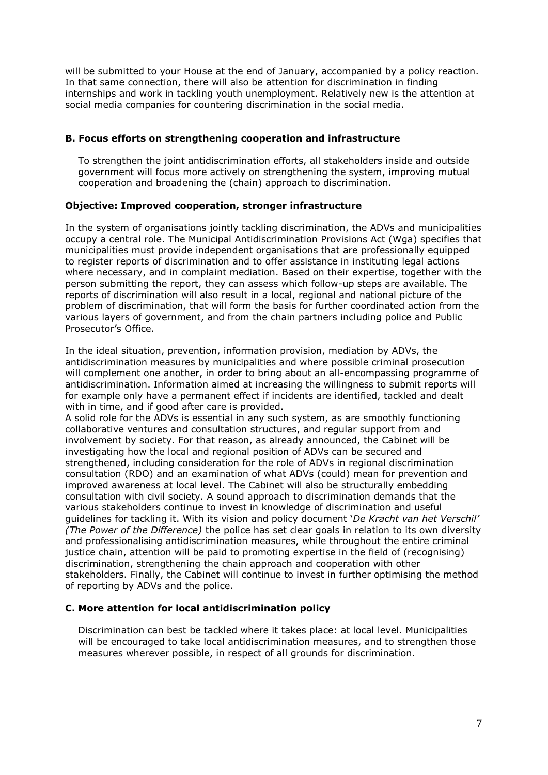will be submitted to your House at the end of January, accompanied by a policy reaction. In that same connection, there will also be attention for discrimination in finding internships and work in tackling youth unemployment. Relatively new is the attention at social media companies for countering discrimination in the social media.

### **B. Focus efforts on strengthening cooperation and infrastructure**

To strengthen the joint antidiscrimination efforts, all stakeholders inside and outside government will focus more actively on strengthening the system, improving mutual cooperation and broadening the (chain) approach to discrimination.

### **Objective: Improved cooperation, stronger infrastructure**

In the system of organisations jointly tackling discrimination, the ADVs and municipalities occupy a central role. The Municipal Antidiscrimination Provisions Act (Wga) specifies that municipalities must provide independent organisations that are professionally equipped to register reports of discrimination and to offer assistance in instituting legal actions where necessary, and in complaint mediation. Based on their expertise, together with the person submitting the report, they can assess which follow-up steps are available. The reports of discrimination will also result in a local, regional and national picture of the problem of discrimination, that will form the basis for further coordinated action from the various layers of government, and from the chain partners including police and Public Prosecutor's Office.

In the ideal situation, prevention, information provision, mediation by ADVs, the antidiscrimination measures by municipalities and where possible criminal prosecution will complement one another, in order to bring about an all-encompassing programme of antidiscrimination. Information aimed at increasing the willingness to submit reports will for example only have a permanent effect if incidents are identified, tackled and dealt with in time, and if good after care is provided.

A solid role for the ADVs is essential in any such system, as are smoothly functioning collaborative ventures and consultation structures, and regular support from and involvement by society. For that reason, as already announced, the Cabinet will be investigating how the local and regional position of ADVs can be secured and strengthened, including consideration for the role of ADVs in regional discrimination consultation (RDO) and an examination of what ADVs (could) mean for prevention and improved awareness at local level. The Cabinet will also be structurally embedding consultation with civil society. A sound approach to discrimination demands that the various stakeholders continue to invest in knowledge of discrimination and useful guidelines for tackling it. With its vision and policy document '*De Kracht van het Verschil' (The Power of the Difference)* the police has set clear goals in relation to its own diversity and professionalising antidiscrimination measures, while throughout the entire criminal justice chain, attention will be paid to promoting expertise in the field of (recognising) discrimination, strengthening the chain approach and cooperation with other stakeholders. Finally, the Cabinet will continue to invest in further optimising the method of reporting by ADVs and the police.

## **C. More attention for local antidiscrimination policy**

Discrimination can best be tackled where it takes place: at local level. Municipalities will be encouraged to take local antidiscrimination measures, and to strengthen those measures wherever possible, in respect of all grounds for discrimination.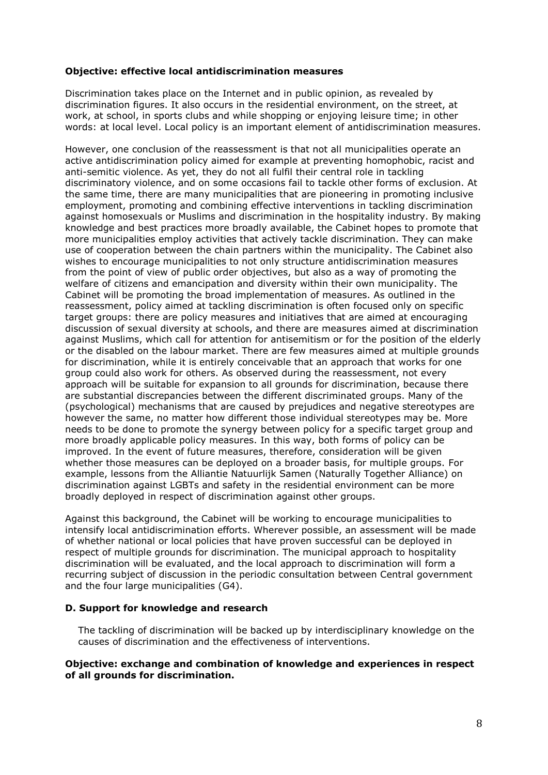### **Objective: effective local antidiscrimination measures**

Discrimination takes place on the Internet and in public opinion, as revealed by discrimination figures. It also occurs in the residential environment, on the street, at work, at school, in sports clubs and while shopping or enjoying leisure time; in other words: at local level. Local policy is an important element of antidiscrimination measures.

However, one conclusion of the reassessment is that not all municipalities operate an active antidiscrimination policy aimed for example at preventing homophobic, racist and anti-semitic violence. As yet, they do not all fulfil their central role in tackling discriminatory violence, and on some occasions fail to tackle other forms of exclusion. At the same time, there are many municipalities that are pioneering in promoting inclusive employment, promoting and combining effective interventions in tackling discrimination against homosexuals or Muslims and discrimination in the hospitality industry. By making knowledge and best practices more broadly available, the Cabinet hopes to promote that more municipalities employ activities that actively tackle discrimination. They can make use of cooperation between the chain partners within the municipality. The Cabinet also wishes to encourage municipalities to not only structure antidiscrimination measures from the point of view of public order objectives, but also as a way of promoting the welfare of citizens and emancipation and diversity within their own municipality. The Cabinet will be promoting the broad implementation of measures. As outlined in the reassessment, policy aimed at tackling discrimination is often focused only on specific target groups: there are policy measures and initiatives that are aimed at encouraging discussion of sexual diversity at schools, and there are measures aimed at discrimination against Muslims, which call for attention for antisemitism or for the position of the elderly or the disabled on the labour market. There are few measures aimed at multiple grounds for discrimination, while it is entirely conceivable that an approach that works for one group could also work for others. As observed during the reassessment, not every approach will be suitable for expansion to all grounds for discrimination, because there are substantial discrepancies between the different discriminated groups. Many of the (psychological) mechanisms that are caused by prejudices and negative stereotypes are however the same, no matter how different those individual stereotypes may be. More needs to be done to promote the synergy between policy for a specific target group and more broadly applicable policy measures. In this way, both forms of policy can be improved. In the event of future measures, therefore, consideration will be given whether those measures can be deployed on a broader basis, for multiple groups. For example, lessons from the Alliantie Natuurlijk Samen (Naturally Together Alliance) on discrimination against LGBTs and safety in the residential environment can be more broadly deployed in respect of discrimination against other groups.

Against this background, the Cabinet will be working to encourage municipalities to intensify local antidiscrimination efforts. Wherever possible, an assessment will be made of whether national or local policies that have proven successful can be deployed in respect of multiple grounds for discrimination. The municipal approach to hospitality discrimination will be evaluated, and the local approach to discrimination will form a recurring subject of discussion in the periodic consultation between Central government and the four large municipalities (G4).

### **D. Support for knowledge and research**

The tackling of discrimination will be backed up by interdisciplinary knowledge on the causes of discrimination and the effectiveness of interventions.

### **Objective: exchange and combination of knowledge and experiences in respect of all grounds for discrimination.**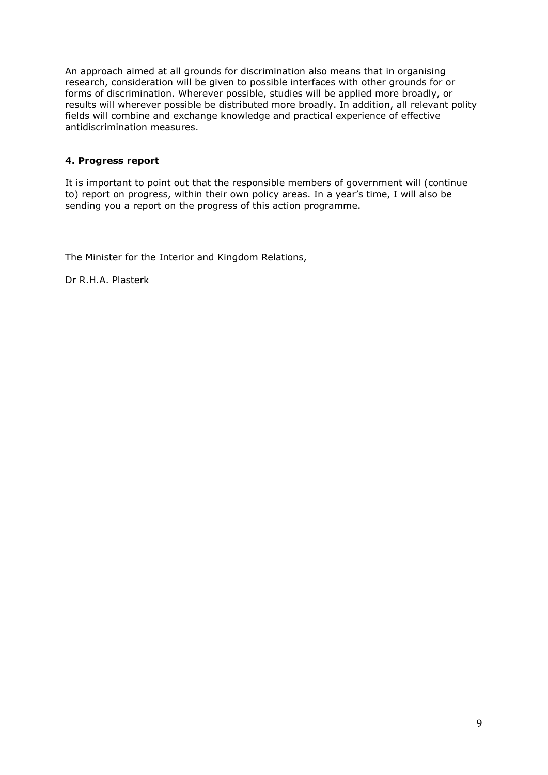An approach aimed at all grounds for discrimination also means that in organising research, consideration will be given to possible interfaces with other grounds for or forms of discrimination. Wherever possible, studies will be applied more broadly, or results will wherever possible be distributed more broadly. In addition, all relevant polity fields will combine and exchange knowledge and practical experience of effective antidiscrimination measures.

# **4. Progress report**

It is important to point out that the responsible members of government will (continue to) report on progress, within their own policy areas. In a year's time, I will also be sending you a report on the progress of this action programme.

The Minister for the Interior and Kingdom Relations,

Dr R.H.A. Plasterk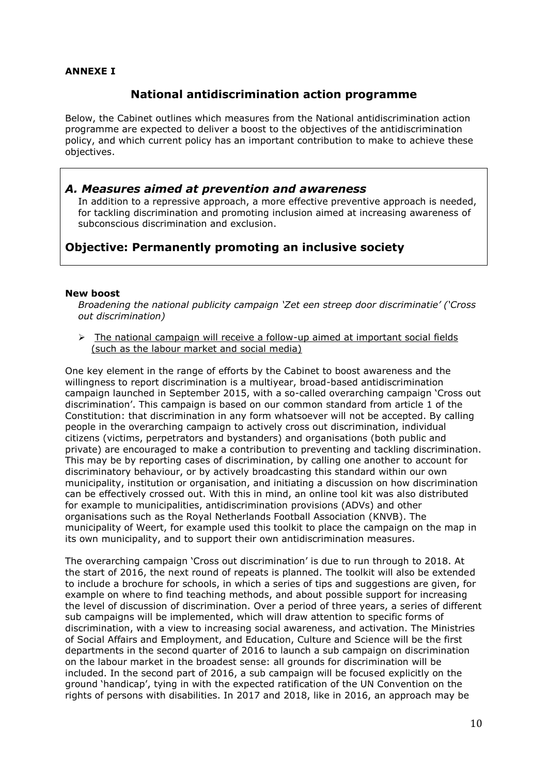## **ANNEXE I**

# **National antidiscrimination action programme**

Below, the Cabinet outlines which measures from the National antidiscrimination action programme are expected to deliver a boost to the objectives of the antidiscrimination policy, and which current policy has an important contribution to make to achieve these objectives.

# *A. Measures aimed at prevention and awareness*

In addition to a repressive approach, a more effective preventive approach is needed, for tackling discrimination and promoting inclusion aimed at increasing awareness of subconscious discrimination and exclusion.

# **Objective: Permanently promoting an inclusive society**

#### **New boost**

*Broadening the national publicity campaign 'Zet een streep door discriminatie' ('Cross out discrimination)*

 $\triangleright$  The national campaign will receive a follow-up aimed at important social fields (such as the labour market and social media)

One key element in the range of efforts by the Cabinet to boost awareness and the willingness to report discrimination is a multiyear, broad-based antidiscrimination campaign launched in September 2015, with a so-called overarching campaign 'Cross out discrimination'. This campaign is based on our common standard from article 1 of the Constitution: that discrimination in any form whatsoever will not be accepted. By calling people in the overarching campaign to actively cross out discrimination, individual citizens (victims, perpetrators and bystanders) and organisations (both public and private) are encouraged to make a contribution to preventing and tackling discrimination. This may be by reporting cases of discrimination, by calling one another to account for discriminatory behaviour, or by actively broadcasting this standard within our own municipality, institution or organisation, and initiating a discussion on how discrimination can be effectively crossed out. With this in mind, an online tool kit was also distributed for example to municipalities, antidiscrimination provisions (ADVs) and other organisations such as the Royal Netherlands Football Association (KNVB). The municipality of Weert, for example used this toolkit to place the campaign on the map in its own municipality, and to support their own antidiscrimination measures.

The overarching campaign 'Cross out discrimination' is due to run through to 2018. At the start of 2016, the next round of repeats is planned. The toolkit will also be extended to include a brochure for schools, in which a series of tips and suggestions are given, for example on where to find teaching methods, and about possible support for increasing the level of discussion of discrimination. Over a period of three years, a series of different sub campaigns will be implemented, which will draw attention to specific forms of discrimination, with a view to increasing social awareness, and activation. The Ministries of Social Affairs and Employment, and Education, Culture and Science will be the first departments in the second quarter of 2016 to launch a sub campaign on discrimination on the labour market in the broadest sense: all grounds for discrimination will be included. In the second part of 2016, a sub campaign will be focused explicitly on the ground 'handicap', tying in with the expected ratification of the UN Convention on the rights of persons with disabilities. In 2017 and 2018, like in 2016, an approach may be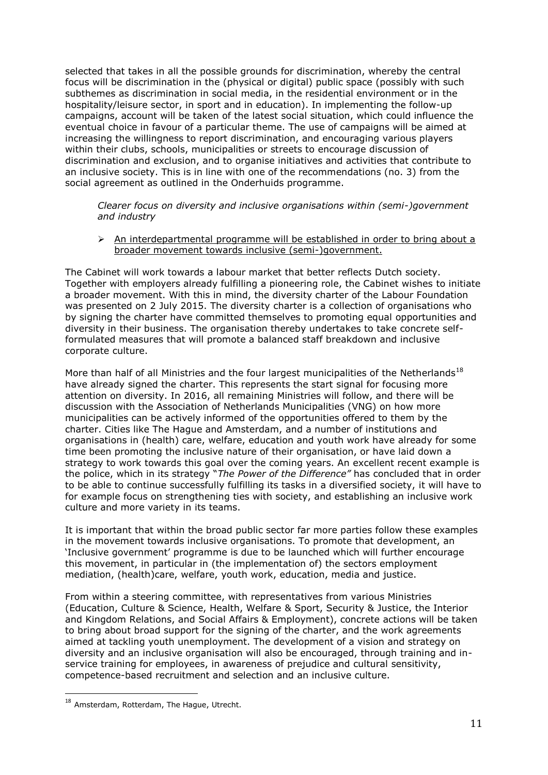selected that takes in all the possible grounds for discrimination, whereby the central focus will be discrimination in the (physical or digital) public space (possibly with such subthemes as discrimination in social media, in the residential environment or in the hospitality/leisure sector, in sport and in education). In implementing the follow-up campaigns, account will be taken of the latest social situation, which could influence the eventual choice in favour of a particular theme. The use of campaigns will be aimed at increasing the willingness to report discrimination, and encouraging various players within their clubs, schools, municipalities or streets to encourage discussion of discrimination and exclusion, and to organise initiatives and activities that contribute to an inclusive society. This is in line with one of the recommendations (no. 3) from the social agreement as outlined in the Onderhuids programme.

*Clearer focus on diversity and inclusive organisations within (semi-)government and industry*

 $\triangleright$  An interdepartmental programme will be established in order to bring about a broader movement towards inclusive (semi-)government.

The Cabinet will work towards a labour market that better reflects Dutch society. Together with employers already fulfilling a pioneering role, the Cabinet wishes to initiate a broader movement. With this in mind, the diversity charter of the Labour Foundation was presented on 2 July 2015. The diversity charter is a collection of organisations who by signing the charter have committed themselves to promoting equal opportunities and diversity in their business. The organisation thereby undertakes to take concrete selfformulated measures that will promote a balanced staff breakdown and inclusive corporate culture.

More than half of all Ministries and the four largest municipalities of the Netherlands<sup>18</sup> have already signed the charter. This represents the start signal for focusing more attention on diversity. In 2016, all remaining Ministries will follow, and there will be discussion with the Association of Netherlands Municipalities (VNG) on how more municipalities can be actively informed of the opportunities offered to them by the charter. Cities like The Hague and Amsterdam, and a number of institutions and organisations in (health) care, welfare, education and youth work have already for some time been promoting the inclusive nature of their organisation, or have laid down a strategy to work towards this goal over the coming years. An excellent recent example is the police, which in its strategy "*The Power of the Difference"* has concluded that in order to be able to continue successfully fulfilling its tasks in a diversified society, it will have to for example focus on strengthening ties with society, and establishing an inclusive work culture and more variety in its teams.

It is important that within the broad public sector far more parties follow these examples in the movement towards inclusive organisations. To promote that development, an 'Inclusive government' programme is due to be launched which will further encourage this movement, in particular in (the implementation of) the sectors employment mediation, (health)care, welfare, youth work, education, media and justice.

From within a steering committee, with representatives from various Ministries (Education, Culture & Science, Health, Welfare & Sport, Security & Justice, the Interior and Kingdom Relations, and Social Affairs & Employment), concrete actions will be taken to bring about broad support for the signing of the charter, and the work agreements aimed at tackling youth unemployment. The development of a vision and strategy on diversity and an inclusive organisation will also be encouraged, through training and inservice training for employees, in awareness of prejudice and cultural sensitivity, competence-based recruitment and selection and an inclusive culture.

 $^{18}$  Amsterdam, Rotterdam, The Hague, Utrecht.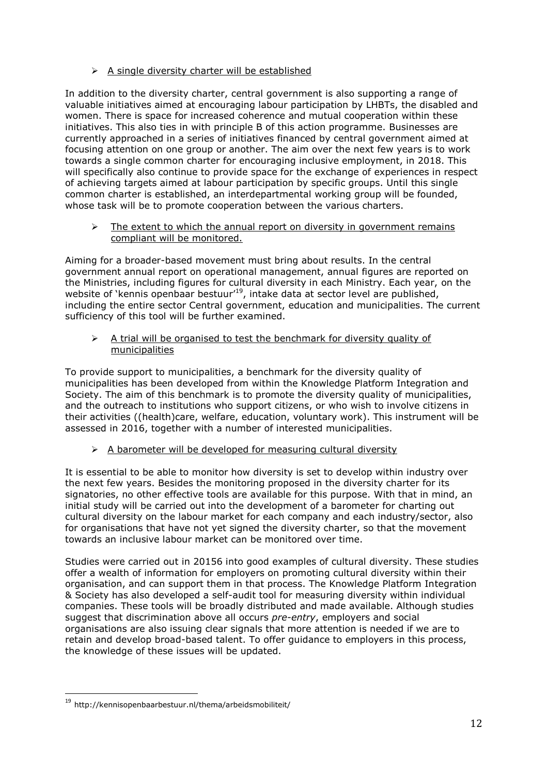# $\triangleright$  A single diversity charter will be established

In addition to the diversity charter, central government is also supporting a range of valuable initiatives aimed at encouraging labour participation by LHBTs, the disabled and women. There is space for increased coherence and mutual cooperation within these initiatives. This also ties in with principle B of this action programme. Businesses are currently approached in a series of initiatives financed by central government aimed at focusing attention on one group or another. The aim over the next few years is to work towards a single common charter for encouraging inclusive employment, in 2018. This will specifically also continue to provide space for the exchange of experiences in respect of achieving targets aimed at labour participation by specific groups. Until this single common charter is established, an interdepartmental working group will be founded, whose task will be to promote cooperation between the various charters.

### $\triangleright$  The extent to which the annual report on diversity in government remains compliant will be monitored.

Aiming for a broader-based movement must bring about results. In the central government annual report on operational management, annual figures are reported on the Ministries, including figures for cultural diversity in each Ministry. Each year, on the website of 'kennis openbaar bestuur'<sup>19</sup>, intake data at sector level are published, including the entire sector Central government, education and municipalities. The current sufficiency of this tool will be further examined.

 $\triangleright$  A trial will be organised to test the benchmark for diversity quality of municipalities

To provide support to municipalities, a benchmark for the diversity quality of municipalities has been developed from within the Knowledge Platform Integration and Society. The aim of this benchmark is to promote the diversity quality of municipalities, and the outreach to institutions who support citizens, or who wish to involve citizens in their activities ((health)care, welfare, education, voluntary work). This instrument will be assessed in 2016, together with a number of interested municipalities.

# $\geq$  A barometer will be developed for measuring cultural diversity

It is essential to be able to monitor how diversity is set to develop within industry over the next few years. Besides the monitoring proposed in the diversity charter for its signatories, no other effective tools are available for this purpose. With that in mind, an initial study will be carried out into the development of a barometer for charting out cultural diversity on the labour market for each company and each industry/sector, also for organisations that have not yet signed the diversity charter, so that the movement towards an inclusive labour market can be monitored over time.

Studies were carried out in 20156 into good examples of cultural diversity. These studies offer a wealth of information for employers on promoting cultural diversity within their organisation, and can support them in that process. The Knowledge Platform Integration & Society has also developed a self-audit tool for measuring diversity within individual companies. These tools will be broadly distributed and made available. Although studies suggest that discrimination above all occurs *pre-entry*, employers and social organisations are also issuing clear signals that more attention is needed if we are to retain and develop broad-based talent. To offer guidance to employers in this process, the knowledge of these issues will be updated.

<sup>&</sup>lt;sup>19</sup> http://kennisopenbaarbestuur.nl/thema/arbeidsmobiliteit/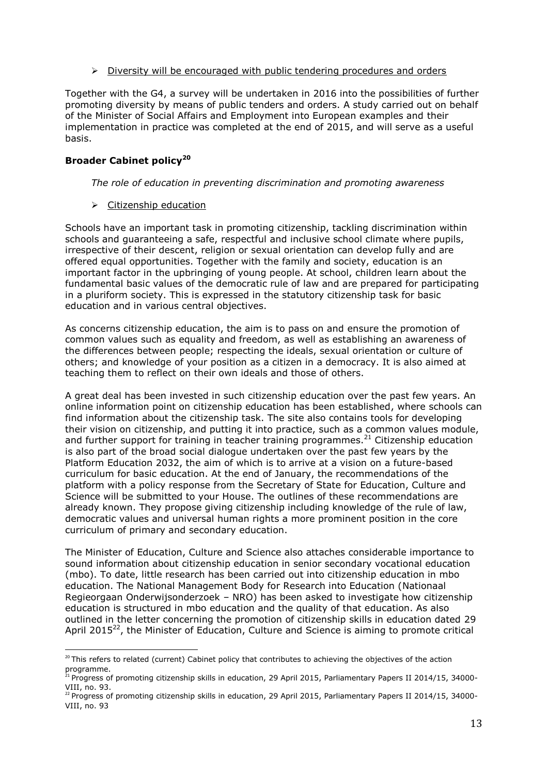### $\triangleright$  Diversity will be encouraged with public tendering procedures and orders

Together with the G4, a survey will be undertaken in 2016 into the possibilities of further promoting diversity by means of public tenders and orders. A study carried out on behalf of the Minister of Social Affairs and Employment into European examples and their implementation in practice was completed at the end of 2015, and will serve as a useful basis.

## **Broader Cabinet policy<sup>20</sup>**

<u>.</u>

### *The role of education in preventing discrimination and promoting awareness*

 $\triangleright$  Citizenship education

Schools have an important task in promoting citizenship, tackling discrimination within schools and guaranteeing a safe, respectful and inclusive school climate where pupils, irrespective of their descent, religion or sexual orientation can develop fully and are offered equal opportunities. Together with the family and society, education is an important factor in the upbringing of young people. At school, children learn about the fundamental basic values of the democratic rule of law and are prepared for participating in a pluriform society. This is expressed in the statutory citizenship task for basic education and in various central objectives.

As concerns citizenship education, the aim is to pass on and ensure the promotion of common values such as equality and freedom, as well as establishing an awareness of the differences between people; respecting the ideals, sexual orientation or culture of others; and knowledge of your position as a citizen in a democracy. It is also aimed at teaching them to reflect on their own ideals and those of others.

A great deal has been invested in such citizenship education over the past few years. An online information point on citizenship education has been established, where schools can find information about the citizenship task. The site also contains tools for developing their vision on citizenship, and putting it into practice, such as a common values module, and further support for training in teacher training programmes.<sup>21</sup> Citizenship education is also part of the broad social dialogue undertaken over the past few years by the Platform Education 2032, the aim of which is to arrive at a vision on a future-based curriculum for basic education. At the end of January, the recommendations of the platform with a policy response from the Secretary of State for Education, Culture and Science will be submitted to your House. The outlines of these recommendations are already known. They propose giving citizenship including knowledge of the rule of law, democratic values and universal human rights a more prominent position in the core curriculum of primary and secondary education.

The Minister of Education, Culture and Science also attaches considerable importance to sound information about citizenship education in senior secondary vocational education (mbo). To date, little research has been carried out into citizenship education in mbo education. The National Management Body for Research into Education (Nationaal Regieorgaan Onderwijsonderzoek – NRO) has been asked to investigate how citizenship education is structured in mbo education and the quality of that education. As also outlined in the letter concerning the promotion of citizenship skills in education dated 29 April 2015<sup>22</sup>, the Minister of Education, Culture and Science is aiming to promote critical

<sup>&</sup>lt;sup>20</sup> This refers to related (current) Cabinet policy that contributes to achieving the objectives of the action programme.

<sup>&</sup>lt;sup>21</sup> Progress of promoting citizenship skills in education, 29 April 2015, Parliamentary Papers II 2014/15, 34000-VIII, no. 93.

 $^{22}$  Progress of promoting citizenship skills in education, 29 April 2015, Parliamentary Papers II 2014/15, 34000-VIII, no. 93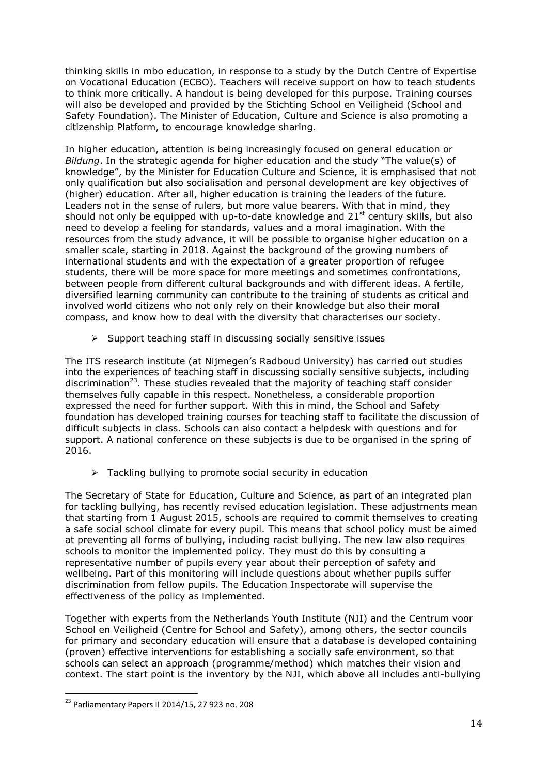thinking skills in mbo education, in response to a study by the Dutch Centre of Expertise on Vocational Education (ECBO). Teachers will receive support on how to teach students to think more critically. A handout is being developed for this purpose. Training courses will also be developed and provided by the Stichting School en Veiligheid (School and Safety Foundation). The Minister of Education, Culture and Science is also promoting a citizenship Platform, to encourage knowledge sharing.

In higher education, attention is being increasingly focused on general education or *Bildung*. In the strategic agenda for higher education and the study "The value(s) of knowledge", by the Minister for Education Culture and Science, it is emphasised that not only qualification but also socialisation and personal development are key objectives of (higher) education. After all, higher education is training the leaders of the future. Leaders not in the sense of rulers, but more value bearers. With that in mind, they should not only be equipped with up-to-date knowledge and  $21<sup>st</sup>$  century skills, but also need to develop a feeling for standards, values and a moral imagination. With the resources from the study advance, it will be possible to organise higher education on a smaller scale, starting in 2018. Against the background of the growing numbers of international students and with the expectation of a greater proportion of refugee students, there will be more space for more meetings and sometimes confrontations, between people from different cultural backgrounds and with different ideas. A fertile, diversified learning community can contribute to the training of students as critical and involved world citizens who not only rely on their knowledge but also their moral compass, and know how to deal with the diversity that characterises our society.

# $\triangleright$  Support teaching staff in discussing socially sensitive issues

The ITS research institute (at Nijmegen's Radboud University) has carried out studies into the experiences of teaching staff in discussing socially sensitive subjects, including discrimination<sup>23</sup>. These studies revealed that the majority of teaching staff consider themselves fully capable in this respect. Nonetheless, a considerable proportion expressed the need for further support. With this in mind, the School and Safety foundation has developed training courses for teaching staff to facilitate the discussion of difficult subjects in class. Schools can also contact a helpdesk with questions and for support. A national conference on these subjects is due to be organised in the spring of 2016.

# $\triangleright$  Tackling bullying to promote social security in education

The Secretary of State for Education, Culture and Science, as part of an integrated plan for tackling bullying, has recently revised education legislation. These adjustments mean that starting from 1 August 2015, schools are required to commit themselves to creating a safe social school climate for every pupil. This means that school policy must be aimed at preventing all forms of bullying, including racist bullying. The new law also requires schools to monitor the implemented policy. They must do this by consulting a representative number of pupils every year about their perception of safety and wellbeing. Part of this monitoring will include questions about whether pupils suffer discrimination from fellow pupils. The Education Inspectorate will supervise the effectiveness of the policy as implemented.

Together with experts from the Netherlands Youth Institute (NJI) and the Centrum voor School en Veiligheid (Centre for School and Safety), among others, the sector councils for primary and secondary education will ensure that a database is developed containing (proven) effective interventions for establishing a socially safe environment, so that schools can select an approach (programme/method) which matches their vision and context. The start point is the inventory by the NJI, which above all includes anti-bullying

 $^{23}$  Parliamentary Papers II 2014/15, 27 923 no. 208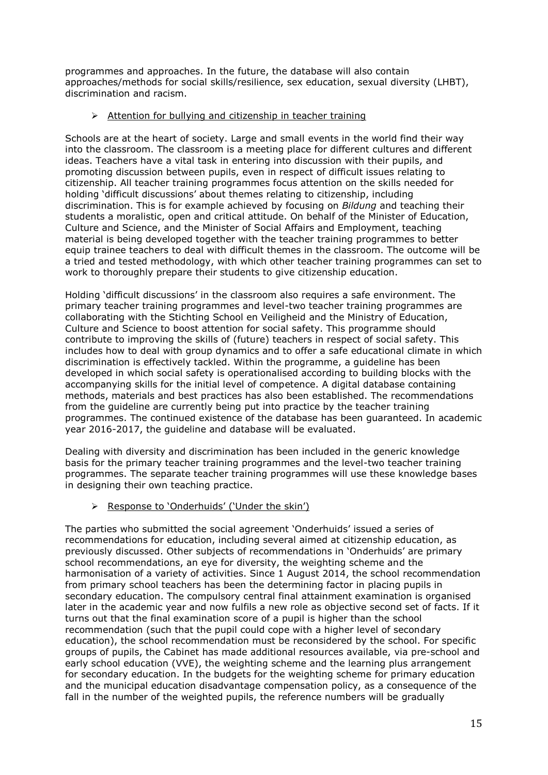programmes and approaches. In the future, the database will also contain approaches/methods for social skills/resilience, sex education, sexual diversity (LHBT), discrimination and racism.

# $\triangleright$  Attention for bullying and citizenship in teacher training

Schools are at the heart of society. Large and small events in the world find their way into the classroom. The classroom is a meeting place for different cultures and different ideas. Teachers have a vital task in entering into discussion with their pupils, and promoting discussion between pupils, even in respect of difficult issues relating to citizenship. All teacher training programmes focus attention on the skills needed for holding 'difficult discussions' about themes relating to citizenship, including discrimination. This is for example achieved by focusing on *Bildung* and teaching their students a moralistic, open and critical attitude. On behalf of the Minister of Education, Culture and Science, and the Minister of Social Affairs and Employment, teaching material is being developed together with the teacher training programmes to better equip trainee teachers to deal with difficult themes in the classroom. The outcome will be a tried and tested methodology, with which other teacher training programmes can set to work to thoroughly prepare their students to give citizenship education.

Holding 'difficult discussions' in the classroom also requires a safe environment. The primary teacher training programmes and level-two teacher training programmes are collaborating with the Stichting School en Veiligheid and the Ministry of Education, Culture and Science to boost attention for social safety. This programme should contribute to improving the skills of (future) teachers in respect of social safety. This includes how to deal with group dynamics and to offer a safe educational climate in which discrimination is effectively tackled. Within the programme, a guideline has been developed in which social safety is operationalised according to building blocks with the accompanying skills for the initial level of competence. A digital database containing methods, materials and best practices has also been established. The recommendations from the guideline are currently being put into practice by the teacher training programmes. The continued existence of the database has been guaranteed. In academic year 2016-2017, the guideline and database will be evaluated.

Dealing with diversity and discrimination has been included in the generic knowledge basis for the primary teacher training programmes and the level-two teacher training programmes. The separate teacher training programmes will use these knowledge bases in designing their own teaching practice.

## Response to 'Onderhuids' ('Under the skin')

The parties who submitted the social agreement 'Onderhuids' issued a series of recommendations for education, including several aimed at citizenship education, as previously discussed. Other subjects of recommendations in 'Onderhuids' are primary school recommendations, an eye for diversity, the weighting scheme and the harmonisation of a variety of activities. Since 1 August 2014, the school recommendation from primary school teachers has been the determining factor in placing pupils in secondary education. The compulsory central final attainment examination is organised later in the academic year and now fulfils a new role as objective second set of facts. If it turns out that the final examination score of a pupil is higher than the school recommendation (such that the pupil could cope with a higher level of secondary education), the school recommendation must be reconsidered by the school. For specific groups of pupils, the Cabinet has made additional resources available, via pre-school and early school education (VVE), the weighting scheme and the learning plus arrangement for secondary education. In the budgets for the weighting scheme for primary education and the municipal education disadvantage compensation policy, as a consequence of the fall in the number of the weighted pupils, the reference numbers will be gradually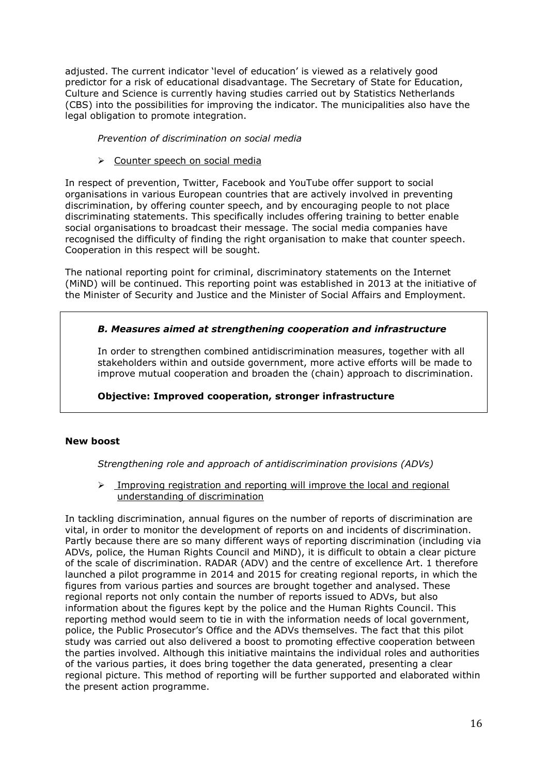adjusted. The current indicator 'level of education' is viewed as a relatively good predictor for a risk of educational disadvantage. The Secretary of State for Education, Culture and Science is currently having studies carried out by Statistics Netherlands (CBS) into the possibilities for improving the indicator. The municipalities also have the legal obligation to promote integration.

*Prevention of discrimination on social media*

### Counter speech on social media

In respect of prevention, Twitter, Facebook and YouTube offer support to social organisations in various European countries that are actively involved in preventing discrimination, by offering counter speech, and by encouraging people to not place discriminating statements. This specifically includes offering training to better enable social organisations to broadcast their message. The social media companies have recognised the difficulty of finding the right organisation to make that counter speech. Cooperation in this respect will be sought.

The national reporting point for criminal, discriminatory statements on the Internet (MiND) will be continued. This reporting point was established in 2013 at the initiative of the Minister of Security and Justice and the Minister of Social Affairs and Employment.

# *B. Measures aimed at strengthening cooperation and infrastructure*

In order to strengthen combined antidiscrimination measures, together with all stakeholders within and outside government, more active efforts will be made to improve mutual cooperation and broaden the (chain) approach to discrimination.

## **Objective: Improved cooperation, stronger infrastructure**

### **New boost**

*Strengthening role and approach of antidiscrimination provisions (ADVs)* 

### $\triangleright$  Improving registration and reporting will improve the local and regional understanding of discrimination

In tackling discrimination, annual figures on the number of reports of discrimination are vital, in order to monitor the development of reports on and incidents of discrimination. Partly because there are so many different ways of reporting discrimination (including via ADVs, police, the Human Rights Council and MiND), it is difficult to obtain a clear picture of the scale of discrimination. RADAR (ADV) and the centre of excellence Art. 1 therefore launched a pilot programme in 2014 and 2015 for creating regional reports, in which the figures from various parties and sources are brought together and analysed. These regional reports not only contain the number of reports issued to ADVs, but also information about the figures kept by the police and the Human Rights Council. This reporting method would seem to tie in with the information needs of local government, police, the Public Prosecutor's Office and the ADVs themselves. The fact that this pilot study was carried out also delivered a boost to promoting effective cooperation between the parties involved. Although this initiative maintains the individual roles and authorities of the various parties, it does bring together the data generated, presenting a clear regional picture. This method of reporting will be further supported and elaborated within the present action programme.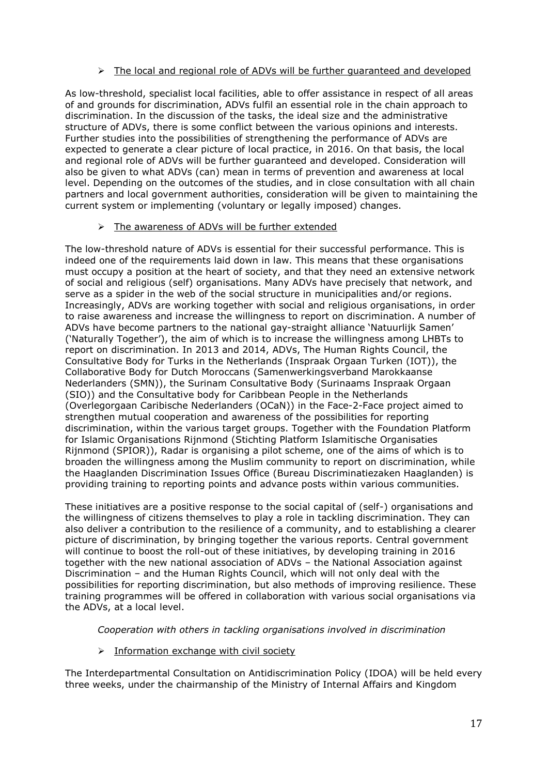## > The local and regional role of ADVs will be further quaranteed and developed

As low-threshold, specialist local facilities, able to offer assistance in respect of all areas of and grounds for discrimination, ADVs fulfil an essential role in the chain approach to discrimination. In the discussion of the tasks, the ideal size and the administrative structure of ADVs, there is some conflict between the various opinions and interests. Further studies into the possibilities of strengthening the performance of ADVs are expected to generate a clear picture of local practice, in 2016. On that basis, the local and regional role of ADVs will be further guaranteed and developed. Consideration will also be given to what ADVs (can) mean in terms of prevention and awareness at local level. Depending on the outcomes of the studies, and in close consultation with all chain partners and local government authorities, consideration will be given to maintaining the current system or implementing (voluntary or legally imposed) changes.

### > The awareness of ADVs will be further extended

The low-threshold nature of ADVs is essential for their successful performance. This is indeed one of the requirements laid down in law. This means that these organisations must occupy a position at the heart of society, and that they need an extensive network of social and religious (self) organisations. Many ADVs have precisely that network, and serve as a spider in the web of the social structure in municipalities and/or regions. Increasingly, ADVs are working together with social and religious organisations, in order to raise awareness and increase the willingness to report on discrimination. A number of ADVs have become partners to the national gay-straight alliance 'Natuurlijk Samen' ('Naturally Together'), the aim of which is to increase the willingness among LHBTs to report on discrimination. In 2013 and 2014, ADVs, The Human Rights Council, the Consultative Body for Turks in the Netherlands (Inspraak Orgaan Turken (IOT)), the Collaborative Body for Dutch Moroccans (Samenwerkingsverband Marokkaanse Nederlanders (SMN)), the Surinam Consultative Body (Surinaams Inspraak Orgaan (SIO)) and the Consultative body for Caribbean People in the Netherlands (Overlegorgaan Caribische Nederlanders (OCaN)) in the Face-2-Face project aimed to strengthen mutual cooperation and awareness of the possibilities for reporting discrimination, within the various target groups. Together with the Foundation Platform for Islamic Organisations Rijnmond (Stichting Platform Islamitische Organisaties Rijnmond (SPIOR)), Radar is organising a pilot scheme, one of the aims of which is to broaden the willingness among the Muslim community to report on discrimination, while the Haaglanden Discrimination Issues Office (Bureau Discriminatiezaken Haaglanden) is providing training to reporting points and advance posts within various communities.

These initiatives are a positive response to the social capital of (self-) organisations and the willingness of citizens themselves to play a role in tackling discrimination. They can also deliver a contribution to the resilience of a community, and to establishing a clearer picture of discrimination, by bringing together the various reports. Central government will continue to boost the roll-out of these initiatives, by developing training in 2016 together with the new national association of ADVs – the National Association against Discrimination – and the Human Rights Council, which will not only deal with the possibilities for reporting discrimination, but also methods of improving resilience. These training programmes will be offered in collaboration with various social organisations via the ADVs, at a local level.

*Cooperation with others in tackling organisations involved in discrimination*

 $\triangleright$  Information exchange with civil society

The Interdepartmental Consultation on Antidiscrimination Policy (IDOA) will be held every three weeks, under the chairmanship of the Ministry of Internal Affairs and Kingdom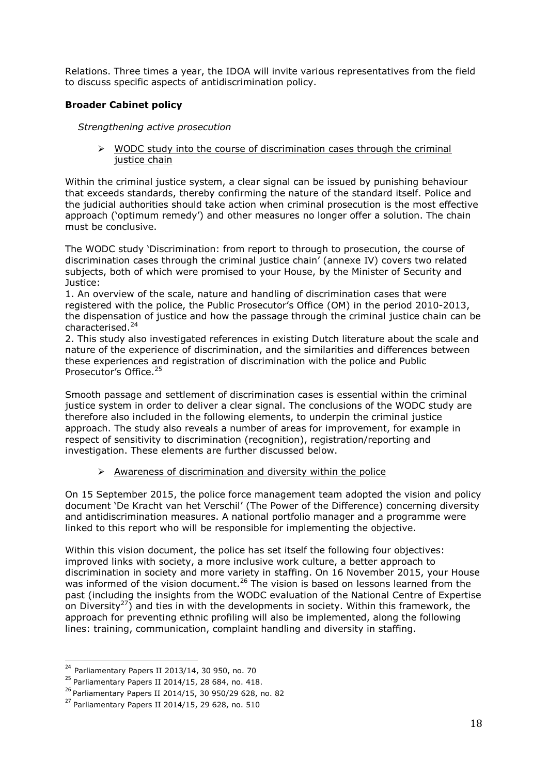Relations. Three times a year, the IDOA will invite various representatives from the field to discuss specific aspects of antidiscrimination policy.

# **Broader Cabinet policy**

*Strengthening active prosecution*

 $\triangleright$  WODC study into the course of discrimination cases through the criminal justice chain

Within the criminal justice system, a clear signal can be issued by punishing behaviour that exceeds standards, thereby confirming the nature of the standard itself. Police and the judicial authorities should take action when criminal prosecution is the most effective approach ('optimum remedy') and other measures no longer offer a solution. The chain must be conclusive.

The WODC study 'Discrimination: from report to through to prosecution, the course of discrimination cases through the criminal justice chain' (annexe IV) covers two related subjects, both of which were promised to your House, by the Minister of Security and Justice:

1. An overview of the scale, nature and handling of discrimination cases that were registered with the police, the Public Prosecutor's Office (OM) in the period 2010-2013, the dispensation of justice and how the passage through the criminal justice chain can be characterised.<sup>24</sup>

2. This study also investigated references in existing Dutch literature about the scale and nature of the experience of discrimination, and the similarities and differences between these experiences and registration of discrimination with the police and Public Prosecutor's Office.<sup>25</sup>

Smooth passage and settlement of discrimination cases is essential within the criminal justice system in order to deliver a clear signal. The conclusions of the WODC study are therefore also included in the following elements, to underpin the criminal justice approach. The study also reveals a number of areas for improvement, for example in respect of sensitivity to discrimination (recognition), registration/reporting and investigation. These elements are further discussed below.

## $\triangleright$  Awareness of discrimination and diversity within the police

On 15 September 2015, the police force management team adopted the vision and policy document 'De Kracht van het Verschil' (The Power of the Difference) concerning diversity and antidiscrimination measures. A national portfolio manager and a programme were linked to this report who will be responsible for implementing the objective.

Within this vision document, the police has set itself the following four objectives: improved links with society, a more inclusive work culture, a better approach to discrimination in society and more variety in staffing. On 16 November 2015, your House was informed of the vision document.<sup>26</sup> The vision is based on lessons learned from the past (including the insights from the WODC evaluation of the National Centre of Expertise on Diversity<sup>27</sup>) and ties in with the developments in society. Within this framework, the approach for preventing ethnic profiling will also be implemented, along the following lines: training, communication, complaint handling and diversity in staffing.

 $24$  Parliamentary Papers II 2013/14, 30 950, no. 70

 $^{25}$  Parliamentary Papers II 2014/15, 28 684, no. 418.

<sup>26</sup> Parliamentary Papers II 2014/15, 30 950/29 628, no. 82

 $^{27}$  Parliamentary Papers II 2014/15, 29 628, no. 510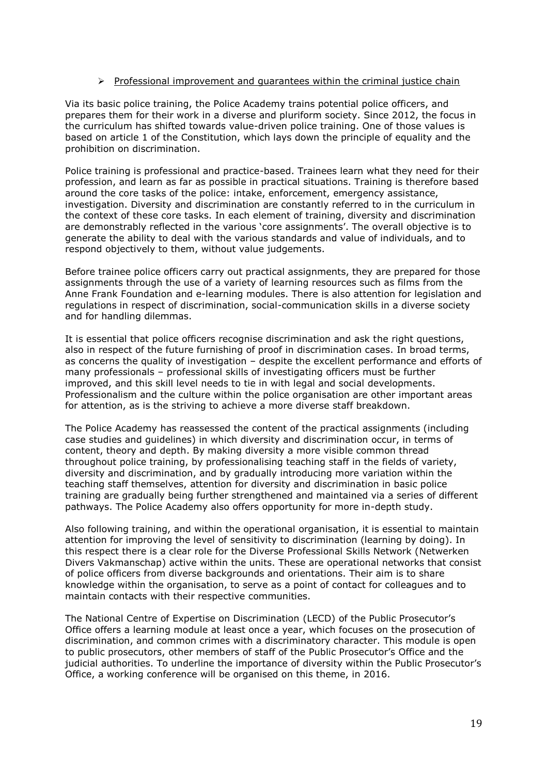### $\triangleright$  Professional improvement and quarantees within the criminal justice chain

Via its basic police training, the Police Academy trains potential police officers, and prepares them for their work in a diverse and pluriform society. Since 2012, the focus in the curriculum has shifted towards value-driven police training. One of those values is based on article 1 of the Constitution, which lays down the principle of equality and the prohibition on discrimination.

Police training is professional and practice-based. Trainees learn what they need for their profession, and learn as far as possible in practical situations. Training is therefore based around the core tasks of the police: intake, enforcement, emergency assistance, investigation. Diversity and discrimination are constantly referred to in the curriculum in the context of these core tasks. In each element of training, diversity and discrimination are demonstrably reflected in the various 'core assignments'. The overall objective is to generate the ability to deal with the various standards and value of individuals, and to respond objectively to them, without value judgements.

Before trainee police officers carry out practical assignments, they are prepared for those assignments through the use of a variety of learning resources such as films from the Anne Frank Foundation and e-learning modules. There is also attention for legislation and regulations in respect of discrimination, social-communication skills in a diverse society and for handling dilemmas.

It is essential that police officers recognise discrimination and ask the right questions, also in respect of the future furnishing of proof in discrimination cases. In broad terms, as concerns the quality of investigation – despite the excellent performance and efforts of many professionals – professional skills of investigating officers must be further improved, and this skill level needs to tie in with legal and social developments. Professionalism and the culture within the police organisation are other important areas for attention, as is the striving to achieve a more diverse staff breakdown.

The Police Academy has reassessed the content of the practical assignments (including case studies and guidelines) in which diversity and discrimination occur, in terms of content, theory and depth. By making diversity a more visible common thread throughout police training, by professionalising teaching staff in the fields of variety, diversity and discrimination, and by gradually introducing more variation within the teaching staff themselves, attention for diversity and discrimination in basic police training are gradually being further strengthened and maintained via a series of different pathways. The Police Academy also offers opportunity for more in-depth study.

Also following training, and within the operational organisation, it is essential to maintain attention for improving the level of sensitivity to discrimination (learning by doing). In this respect there is a clear role for the Diverse Professional Skills Network (Netwerken Divers Vakmanschap) active within the units. These are operational networks that consist of police officers from diverse backgrounds and orientations. Their aim is to share knowledge within the organisation, to serve as a point of contact for colleagues and to maintain contacts with their respective communities.

The National Centre of Expertise on Discrimination (LECD) of the Public Prosecutor's Office offers a learning module at least once a year, which focuses on the prosecution of discrimination, and common crimes with a discriminatory character. This module is open to public prosecutors, other members of staff of the Public Prosecutor's Office and the judicial authorities. To underline the importance of diversity within the Public Prosecutor's Office, a working conference will be organised on this theme, in 2016.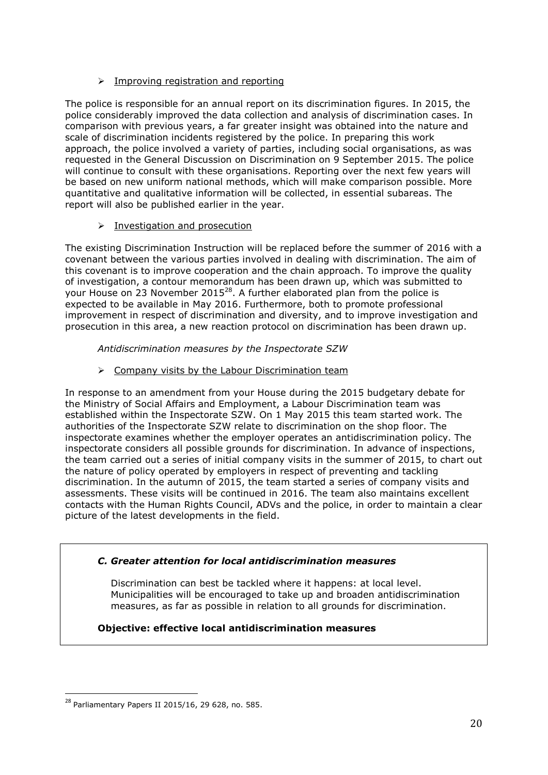# $\triangleright$  Improving registration and reporting

The police is responsible for an annual report on its discrimination figures. In 2015, the police considerably improved the data collection and analysis of discrimination cases. In comparison with previous years, a far greater insight was obtained into the nature and scale of discrimination incidents registered by the police. In preparing this work approach, the police involved a variety of parties, including social organisations, as was requested in the General Discussion on Discrimination on 9 September 2015. The police will continue to consult with these organisations. Reporting over the next few years will be based on new uniform national methods, which will make comparison possible. More quantitative and qualitative information will be collected, in essential subareas. The report will also be published earlier in the year.

## $\triangleright$  Investigation and prosecution

The existing Discrimination Instruction will be replaced before the summer of 2016 with a covenant between the various parties involved in dealing with discrimination. The aim of this covenant is to improve cooperation and the chain approach. To improve the quality of investigation, a contour memorandum has been drawn up, which was submitted to your House on 23 November 2015 $^{28}$ . A further elaborated plan from the police is expected to be available in May 2016. Furthermore, both to promote professional improvement in respect of discrimination and diversity, and to improve investigation and prosecution in this area, a new reaction protocol on discrimination has been drawn up.

*Antidiscrimination measures by the Inspectorate SZW*

 $\triangleright$  Company visits by the Labour Discrimination team

In response to an amendment from your House during the 2015 budgetary debate for the Ministry of Social Affairs and Employment, a Labour Discrimination team was established within the Inspectorate SZW. On 1 May 2015 this team started work. The authorities of the Inspectorate SZW relate to discrimination on the shop floor. The inspectorate examines whether the employer operates an antidiscrimination policy. The inspectorate considers all possible grounds for discrimination. In advance of inspections, the team carried out a series of initial company visits in the summer of 2015, to chart out the nature of policy operated by employers in respect of preventing and tackling discrimination. In the autumn of 2015, the team started a series of company visits and assessments. These visits will be continued in 2016. The team also maintains excellent contacts with the Human Rights Council, ADVs and the police, in order to maintain a clear picture of the latest developments in the field.

## *C. Greater attention for local antidiscrimination measures*

Discrimination can best be tackled where it happens: at local level. Municipalities will be encouraged to take up and broaden antidiscrimination measures, as far as possible in relation to all grounds for discrimination.

# **Objective: effective local antidiscrimination measures**

 $^{28}$  Parliamentary Papers II 2015/16, 29 628, no. 585.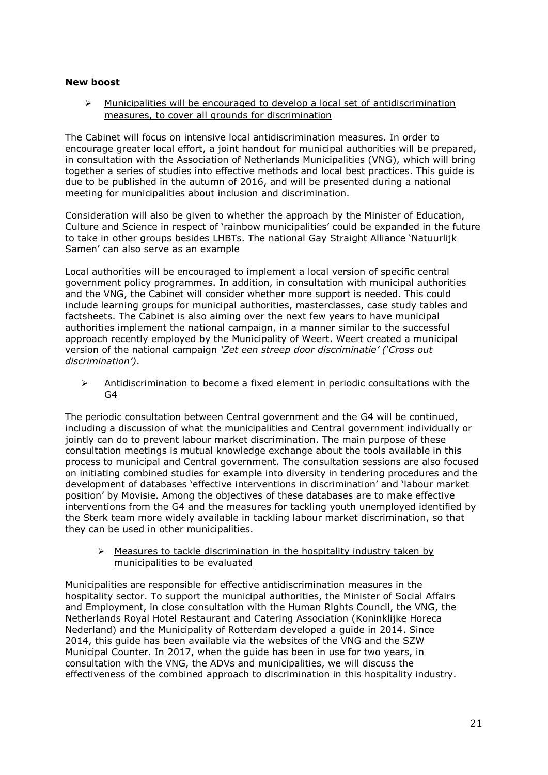### **New boost**

 $\triangleright$  Municipalities will be encouraged to develop a local set of antidiscrimination measures, to cover all grounds for discrimination

The Cabinet will focus on intensive local antidiscrimination measures. In order to encourage greater local effort, a joint handout for municipal authorities will be prepared, in consultation with the Association of Netherlands Municipalities (VNG), which will bring together a series of studies into effective methods and local best practices. This guide is due to be published in the autumn of 2016, and will be presented during a national meeting for municipalities about inclusion and discrimination.

Consideration will also be given to whether the approach by the Minister of Education, Culture and Science in respect of 'rainbow municipalities' could be expanded in the future to take in other groups besides LHBTs. The national Gay Straight Alliance 'Natuurlijk Samen' can also serve as an example

Local authorities will be encouraged to implement a local version of specific central government policy programmes. In addition, in consultation with municipal authorities and the VNG, the Cabinet will consider whether more support is needed. This could include learning groups for municipal authorities, masterclasses, case study tables and factsheets. The Cabinet is also aiming over the next few years to have municipal authorities implement the national campaign, in a manner similar to the successful approach recently employed by the Municipality of Weert. Weert created a municipal version of the national campaign *'Zet een streep door discriminatie' ('Cross out discrimination')*.

 $\triangleright$  Antidiscrimination to become a fixed element in periodic consultations with the G4

The periodic consultation between Central government and the G4 will be continued, including a discussion of what the municipalities and Central government individually or jointly can do to prevent labour market discrimination. The main purpose of these consultation meetings is mutual knowledge exchange about the tools available in this process to municipal and Central government. The consultation sessions are also focused on initiating combined studies for example into diversity in tendering procedures and the development of databases 'effective interventions in discrimination' and 'labour market position' by Movisie. Among the objectives of these databases are to make effective interventions from the G4 and the measures for tackling youth unemployed identified by the Sterk team more widely available in tackling labour market discrimination, so that they can be used in other municipalities.

 $\triangleright$  Measures to tackle discrimination in the hospitality industry taken by municipalities to be evaluated

Municipalities are responsible for effective antidiscrimination measures in the hospitality sector. To support the municipal authorities, the Minister of Social Affairs and Employment, in close consultation with the Human Rights Council, the VNG, the Netherlands Royal Hotel Restaurant and Catering Association (Koninklijke Horeca Nederland) and the Municipality of Rotterdam developed a guide in 2014. Since 2014, this guide has been available via the websites of the VNG and the SZW Municipal Counter. In 2017, when the guide has been in use for two years, in consultation with the VNG, the ADVs and municipalities, we will discuss the effectiveness of the combined approach to discrimination in this hospitality industry.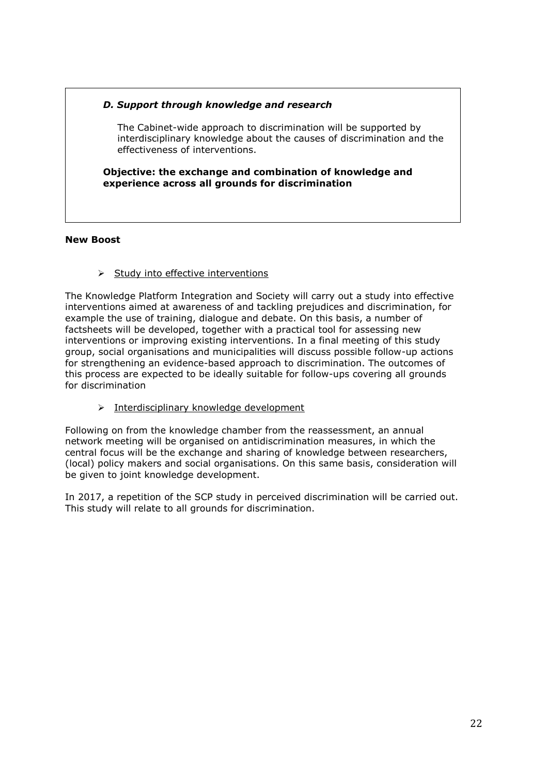# *D. Support through knowledge and research*

The Cabinet-wide approach to discrimination will be supported by interdisciplinary knowledge about the causes of discrimination and the effectiveness of interventions.

**Objective: the exchange and combination of knowledge and experience across all grounds for discrimination** 

### **New Boost**

 $\triangleright$  Study into effective interventions

The Knowledge Platform Integration and Society will carry out a study into effective interventions aimed at awareness of and tackling prejudices and discrimination, for example the use of training, dialogue and debate. On this basis, a number of factsheets will be developed, together with a practical tool for assessing new interventions or improving existing interventions. In a final meeting of this study group, social organisations and municipalities will discuss possible follow-up actions for strengthening an evidence-based approach to discrimination. The outcomes of this process are expected to be ideally suitable for follow-ups covering all grounds for discrimination

 $\triangleright$  Interdisciplinary knowledge development

Following on from the knowledge chamber from the reassessment, an annual network meeting will be organised on antidiscrimination measures, in which the central focus will be the exchange and sharing of knowledge between researchers, (local) policy makers and social organisations. On this same basis, consideration will be given to joint knowledge development.

In 2017, a repetition of the SCP study in perceived discrimination will be carried out. This study will relate to all grounds for discrimination.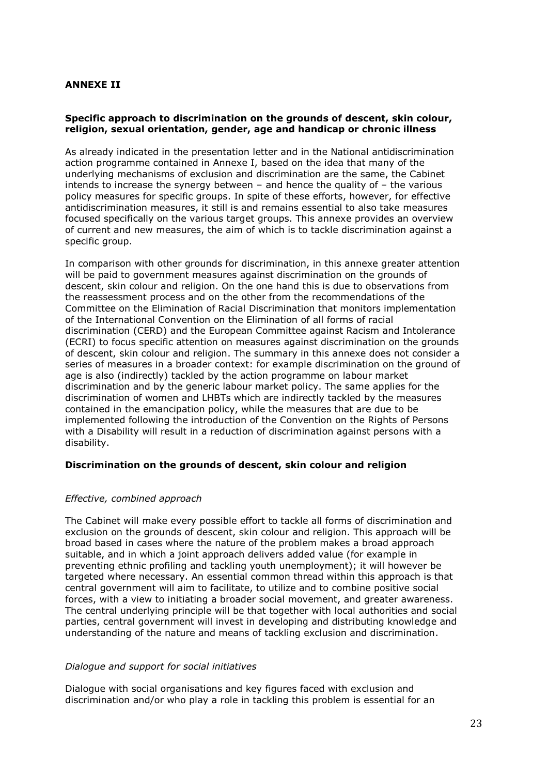## **ANNEXE II**

### **Specific approach to discrimination on the grounds of descent, skin colour, religion, sexual orientation, gender, age and handicap or chronic illness**

As already indicated in the presentation letter and in the National antidiscrimination action programme contained in Annexe I, based on the idea that many of the underlying mechanisms of exclusion and discrimination are the same, the Cabinet intends to increase the synergy between  $-$  and hence the quality of  $-$  the various policy measures for specific groups. In spite of these efforts, however, for effective antidiscrimination measures, it still is and remains essential to also take measures focused specifically on the various target groups. This annexe provides an overview of current and new measures, the aim of which is to tackle discrimination against a specific group.

In comparison with other grounds for discrimination, in this annexe greater attention will be paid to government measures against discrimination on the grounds of descent, skin colour and religion. On the one hand this is due to observations from the reassessment process and on the other from the recommendations of the Committee on the Elimination of Racial Discrimination that monitors implementation of the International Convention on the Elimination of all forms of racial discrimination (CERD) and the European Committee against Racism and Intolerance (ECRI) to focus specific attention on measures against discrimination on the grounds of descent, skin colour and religion. The summary in this annexe does not consider a series of measures in a broader context: for example discrimination on the ground of age is also (indirectly) tackled by the action programme on labour market discrimination and by the generic labour market policy. The same applies for the discrimination of women and LHBTs which are indirectly tackled by the measures contained in the emancipation policy, while the measures that are due to be implemented following the introduction of the Convention on the Rights of Persons with a Disability will result in a reduction of discrimination against persons with a disability.

### **Discrimination on the grounds of descent, skin colour and religion**

### *Effective, combined approach*

The Cabinet will make every possible effort to tackle all forms of discrimination and exclusion on the grounds of descent, skin colour and religion. This approach will be broad based in cases where the nature of the problem makes a broad approach suitable, and in which a joint approach delivers added value (for example in preventing ethnic profiling and tackling youth unemployment); it will however be targeted where necessary. An essential common thread within this approach is that central government will aim to facilitate, to utilize and to combine positive social forces, with a view to initiating a broader social movement, and greater awareness. The central underlying principle will be that together with local authorities and social parties, central government will invest in developing and distributing knowledge and understanding of the nature and means of tackling exclusion and discrimination.

### *Dialogue and support for social initiatives*

Dialogue with social organisations and key figures faced with exclusion and discrimination and/or who play a role in tackling this problem is essential for an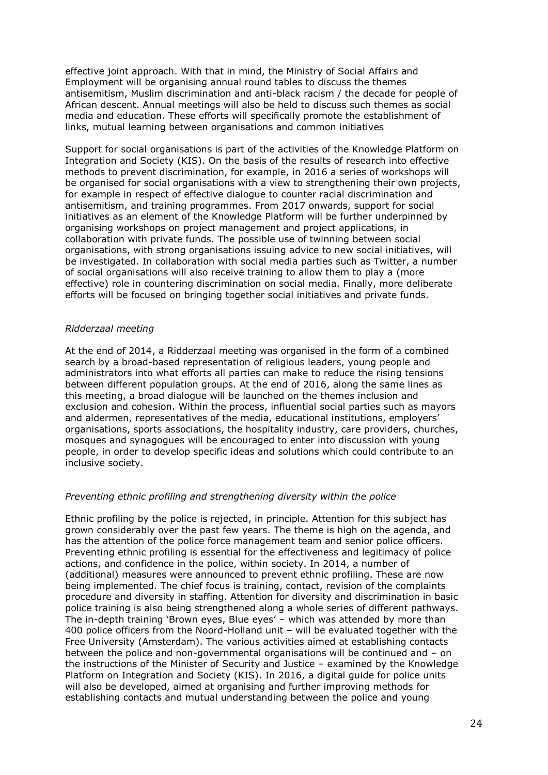effective joint approach. With that in mind, the Ministry of Social Affairs and Employment will be organising annual round tables to discuss the themes antisemitism, Muslim discrimination and anti-black racism / the decade for people of African descent. Annual meetings will also be held to discuss such themes as social media and education. These efforts will specifically promote the establishment of links, mutual learning between organisations and common initiatives

Support for social organisations is part of the activities of the Knowledge Platform on Integration and Society (KIS). On the basis of the results of research into effective methods to prevent discrimination, for example, in 2016 a series of workshops will be organised for social organisations with a view to strengthening their own projects, for example in respect of effective dialogue to counter racial discrimination and antisemitism, and training programmes. From 2017 onwards, support for social initiatives as an element of the Knowledge Platform will be further underpinned by organising workshops on project management and project applications, in collaboration with private funds. The possible use of twinning between social organisations, with strong organisations issuing advice to new social initiatives, will be investigated. In collaboration with social media parties such as Twitter, a number of social organisations will also receive training to allow them to play a (more effective) role in countering discrimination on social media. Finally, more deliberate efforts will be focused on bringing together social initiatives and private funds.

### *Ridderzaal meeting*

At the end of 2014, a Ridderzaal meeting was organised in the form of a combined search by a broad-based representation of religious leaders, young people and administrators into what efforts all parties can make to reduce the rising tensions between different population groups. At the end of 2016, along the same lines as this meeting, a broad dialogue will be launched on the themes inclusion and exclusion and cohesion. Within the process, influential social parties such as mayors and aldermen, representatives of the media, educational institutions, employers' organisations, sports associations, the hospitality industry, care providers, churches, mosques and synagogues will be encouraged to enter into discussion with young people, in order to develop specific ideas and solutions which could contribute to an inclusive society.

### *Preventing ethnic profiling and strengthening diversity within the police*

Ethnic profiling by the police is rejected, in principle. Attention for this subject has grown considerably over the past few years. The theme is high on the agenda, and has the attention of the police force management team and senior police officers. Preventing ethnic profiling is essential for the effectiveness and legitimacy of police actions, and confidence in the police, within society. In 2014, a number of (additional) measures were announced to prevent ethnic profiling. These are now being implemented. The chief focus is training, contact, revision of the complaints procedure and diversity in staffing. Attention for diversity and discrimination in basic police training is also being strengthened along a whole series of different pathways. The in-depth training 'Brown eyes, Blue eyes' – which was attended by more than 400 police officers from the Noord-Holland unit – will be evaluated together with the Free University (Amsterdam). The various activities aimed at establishing contacts between the police and non-governmental organisations will be continued and – on the instructions of the Minister of Security and Justice – examined by the Knowledge Platform on Integration and Society (KIS). In 2016, a digital guide for police units will also be developed, aimed at organising and further improving methods for establishing contacts and mutual understanding between the police and young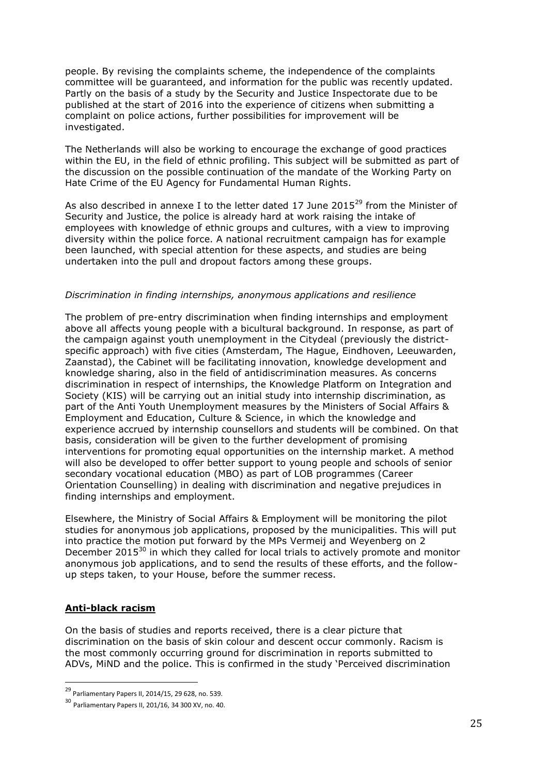people. By revising the complaints scheme, the independence of the complaints committee will be guaranteed, and information for the public was recently updated. Partly on the basis of a study by the Security and Justice Inspectorate due to be published at the start of 2016 into the experience of citizens when submitting a complaint on police actions, further possibilities for improvement will be investigated.

The Netherlands will also be working to encourage the exchange of good practices within the EU, in the field of ethnic profiling. This subject will be submitted as part of the discussion on the possible continuation of the mandate of the Working Party on Hate Crime of the EU Agency for Fundamental Human Rights.

As also described in annexe I to the letter dated 17 June 2015 $^{29}$  from the Minister of Security and Justice, the police is already hard at work raising the intake of employees with knowledge of ethnic groups and cultures, with a view to improving diversity within the police force. A national recruitment campaign has for example been launched, with special attention for these aspects, and studies are being undertaken into the pull and dropout factors among these groups.

### *Discrimination in finding internships, anonymous applications and resilience*

The problem of pre-entry discrimination when finding internships and employment above all affects young people with a bicultural background. In response, as part of the campaign against youth unemployment in the Citydeal (previously the districtspecific approach) with five cities (Amsterdam, The Hague, Eindhoven, Leeuwarden, Zaanstad), the Cabinet will be facilitating innovation, knowledge development and knowledge sharing, also in the field of antidiscrimination measures. As concerns discrimination in respect of internships, the Knowledge Platform on Integration and Society (KIS) will be carrying out an initial study into internship discrimination, as part of the Anti Youth Unemployment measures by the Ministers of Social Affairs & Employment and Education, Culture & Science, in which the knowledge and experience accrued by internship counsellors and students will be combined. On that basis, consideration will be given to the further development of promising interventions for promoting equal opportunities on the internship market. A method will also be developed to offer better support to young people and schools of senior secondary vocational education (MBO) as part of LOB programmes (Career Orientation Counselling) in dealing with discrimination and negative prejudices in finding internships and employment.

Elsewhere, the Ministry of Social Affairs & Employment will be monitoring the pilot studies for anonymous job applications, proposed by the municipalities. This will put into practice the motion put forward by the MPs Vermeij and Weyenberg on 2 December 2015<sup>30</sup> in which they called for local trials to actively promote and monitor anonymous job applications, and to send the results of these efforts, and the followup steps taken, to your House, before the summer recess.

## **Anti-black racism**

<u>.</u>

On the basis of studies and reports received, there is a clear picture that discrimination on the basis of skin colour and descent occur commonly. Racism is the most commonly occurring ground for discrimination in reports submitted to ADVs, MiND and the police. This is confirmed in the study 'Perceived discrimination

<sup>29</sup> Parliamentary Papers II, 2014/15, 29 628, no. 539.

<sup>30</sup> Parliamentary Papers II, 201/16, 34 300 XV, no. 40.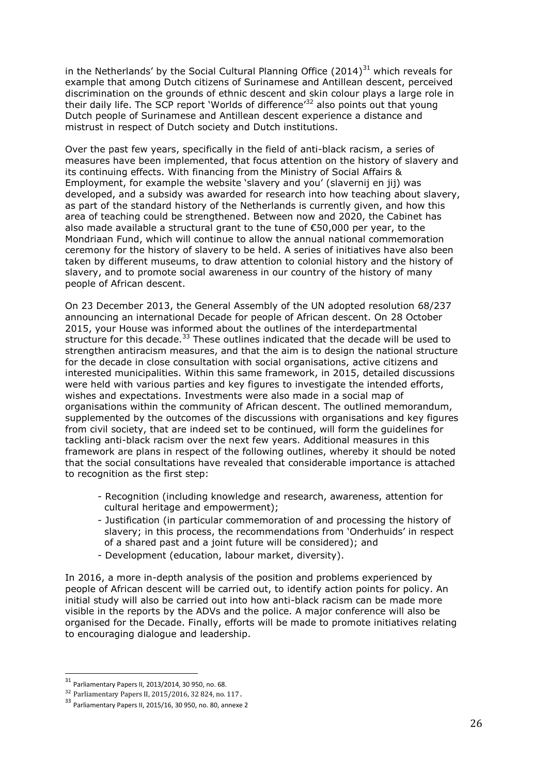in the Netherlands' by the Social Cultural Planning Office  $(2014)^{31}$  which reveals for example that among Dutch citizens of Surinamese and Antillean descent, perceived discrimination on the grounds of ethnic descent and skin colour plays a large role in their daily life. The SCP report 'Worlds of difference<sup>'32</sup> also points out that young Dutch people of Surinamese and Antillean descent experience a distance and mistrust in respect of Dutch society and Dutch institutions.

Over the past few years, specifically in the field of anti-black racism, a series of measures have been implemented, that focus attention on the history of slavery and its continuing effects. With financing from the Ministry of Social Affairs & Employment, for example the website 'slavery and you' (slavernij en jij) was developed, and a subsidy was awarded for research into how teaching about slavery, as part of the standard history of the Netherlands is currently given, and how this area of teaching could be strengthened. Between now and 2020, the Cabinet has also made available a structural grant to the tune of €50,000 per year, to the Mondriaan Fund, which will continue to allow the annual national commemoration ceremony for the history of slavery to be held. A series of initiatives have also been taken by different museums, to draw attention to colonial history and the history of slavery, and to promote social awareness in our country of the history of many people of African descent.

On 23 December 2013, the General Assembly of the UN adopted resolution 68/237 announcing an international Decade for people of African descent. On 28 October 2015, your House was informed about the outlines of the interdepartmental structure for this decade. $33$  These outlines indicated that the decade will be used to strengthen antiracism measures, and that the aim is to design the national structure for the decade in close consultation with social organisations, active citizens and interested municipalities. Within this same framework, in 2015, detailed discussions were held with various parties and key figures to investigate the intended efforts, wishes and expectations. Investments were also made in a social map of organisations within the community of African descent. The outlined memorandum, supplemented by the outcomes of the discussions with organisations and key figures from civil society, that are indeed set to be continued, will form the guidelines for tackling anti-black racism over the next few years. Additional measures in this framework are plans in respect of the following outlines, whereby it should be noted that the social consultations have revealed that considerable importance is attached to recognition as the first step:

- Recognition (including knowledge and research, awareness, attention for cultural heritage and empowerment);
- Justification (in particular commemoration of and processing the history of slavery; in this process, the recommendations from 'Onderhuids' in respect of a shared past and a joint future will be considered); and
- Development (education, labour market, diversity).

In 2016, a more in-depth analysis of the position and problems experienced by people of African descent will be carried out, to identify action points for policy. An initial study will also be carried out into how anti-black racism can be made more visible in the reports by the ADVs and the police. A major conference will also be organised for the Decade. Finally, efforts will be made to promote initiatives relating to encouraging dialogue and leadership.

<sup>31</sup> Parliamentary Papers II, 2013/2014, 30 950, no. 68.

<sup>32</sup> Parliamentary Papers II, 2015/2016, 32 824, no. 117.

<sup>33</sup> Parliamentary Papers II, 2015/16, 30 950, no. 80, annexe 2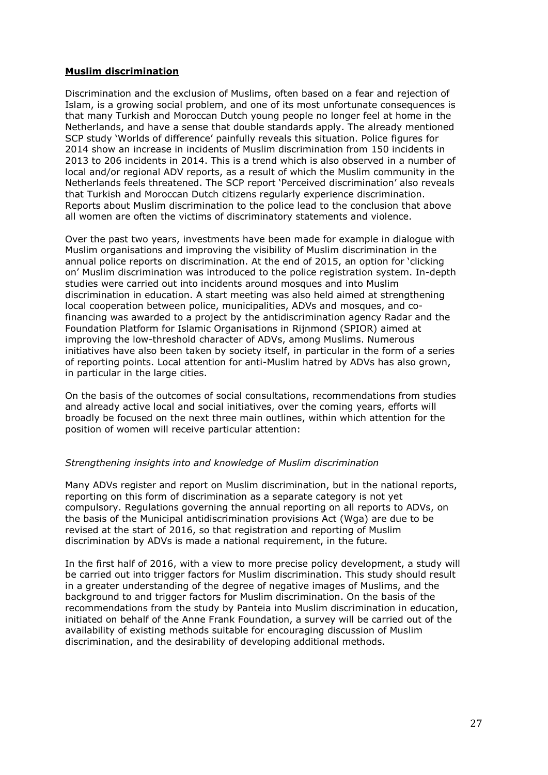# **Muslim discrimination**

Discrimination and the exclusion of Muslims, often based on a fear and rejection of Islam, is a growing social problem, and one of its most unfortunate consequences is that many Turkish and Moroccan Dutch young people no longer feel at home in the Netherlands, and have a sense that double standards apply. The already mentioned SCP study 'Worlds of difference' painfully reveals this situation. Police figures for 2014 show an increase in incidents of Muslim discrimination from 150 incidents in 2013 to 206 incidents in 2014. This is a trend which is also observed in a number of local and/or regional ADV reports, as a result of which the Muslim community in the Netherlands feels threatened. The SCP report 'Perceived discrimination' also reveals that Turkish and Moroccan Dutch citizens regularly experience discrimination. Reports about Muslim discrimination to the police lead to the conclusion that above all women are often the victims of discriminatory statements and violence.

Over the past two years, investments have been made for example in dialogue with Muslim organisations and improving the visibility of Muslim discrimination in the annual police reports on discrimination. At the end of 2015, an option for 'clicking on' Muslim discrimination was introduced to the police registration system. In-depth studies were carried out into incidents around mosques and into Muslim discrimination in education. A start meeting was also held aimed at strengthening local cooperation between police, municipalities, ADVs and mosques, and cofinancing was awarded to a project by the antidiscrimination agency Radar and the Foundation Platform for Islamic Organisations in Rijnmond (SPIOR) aimed at improving the low-threshold character of ADVs, among Muslims. Numerous initiatives have also been taken by society itself, in particular in the form of a series of reporting points. Local attention for anti-Muslim hatred by ADVs has also grown, in particular in the large cities.

On the basis of the outcomes of social consultations, recommendations from studies and already active local and social initiatives, over the coming years, efforts will broadly be focused on the next three main outlines, within which attention for the position of women will receive particular attention:

### *Strengthening insights into and knowledge of Muslim discrimination*

Many ADVs register and report on Muslim discrimination, but in the national reports, reporting on this form of discrimination as a separate category is not yet compulsory. Regulations governing the annual reporting on all reports to ADVs, on the basis of the Municipal antidiscrimination provisions Act (Wga) are due to be revised at the start of 2016, so that registration and reporting of Muslim discrimination by ADVs is made a national requirement, in the future.

In the first half of 2016, with a view to more precise policy development, a study will be carried out into trigger factors for Muslim discrimination. This study should result in a greater understanding of the degree of negative images of Muslims, and the background to and trigger factors for Muslim discrimination. On the basis of the recommendations from the study by Panteia into Muslim discrimination in education, initiated on behalf of the Anne Frank Foundation, a survey will be carried out of the availability of existing methods suitable for encouraging discussion of Muslim discrimination, and the desirability of developing additional methods.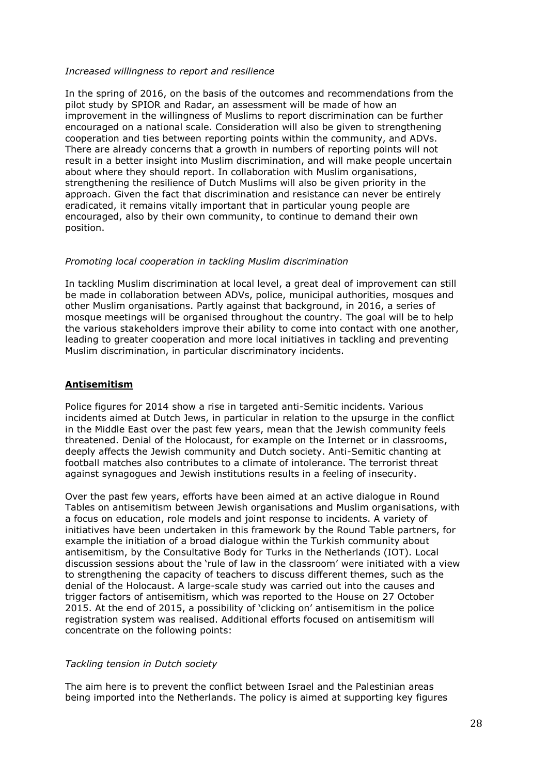### *Increased willingness to report and resilience*

In the spring of 2016, on the basis of the outcomes and recommendations from the pilot study by SPIOR and Radar, an assessment will be made of how an improvement in the willingness of Muslims to report discrimination can be further encouraged on a national scale. Consideration will also be given to strengthening cooperation and ties between reporting points within the community, and ADVs. There are already concerns that a growth in numbers of reporting points will not result in a better insight into Muslim discrimination, and will make people uncertain about where they should report. In collaboration with Muslim organisations, strengthening the resilience of Dutch Muslims will also be given priority in the approach. Given the fact that discrimination and resistance can never be entirely eradicated, it remains vitally important that in particular young people are encouraged, also by their own community, to continue to demand their own position.

### *Promoting local cooperation in tackling Muslim discrimination*

In tackling Muslim discrimination at local level, a great deal of improvement can still be made in collaboration between ADVs, police, municipal authorities, mosques and other Muslim organisations. Partly against that background, in 2016, a series of mosque meetings will be organised throughout the country. The goal will be to help the various stakeholders improve their ability to come into contact with one another, leading to greater cooperation and more local initiatives in tackling and preventing Muslim discrimination, in particular discriminatory incidents.

## **Antisemitism**

Police figures for 2014 show a rise in targeted anti-Semitic incidents. Various incidents aimed at Dutch Jews, in particular in relation to the upsurge in the conflict in the Middle East over the past few years, mean that the Jewish community feels threatened. Denial of the Holocaust, for example on the Internet or in classrooms, deeply affects the Jewish community and Dutch society. Anti-Semitic chanting at football matches also contributes to a climate of intolerance. The terrorist threat against synagogues and Jewish institutions results in a feeling of insecurity.

Over the past few years, efforts have been aimed at an active dialogue in Round Tables on antisemitism between Jewish organisations and Muslim organisations, with a focus on education, role models and joint response to incidents. A variety of initiatives have been undertaken in this framework by the Round Table partners, for example the initiation of a broad dialogue within the Turkish community about antisemitism, by the Consultative Body for Turks in the Netherlands (IOT). Local discussion sessions about the 'rule of law in the classroom' were initiated with a view to strengthening the capacity of teachers to discuss different themes, such as the denial of the Holocaust. A large-scale study was carried out into the causes and trigger factors of antisemitism, which was reported to the House on 27 October 2015. At the end of 2015, a possibility of 'clicking on' antisemitism in the police registration system was realised. Additional efforts focused on antisemitism will concentrate on the following points:

## *Tackling tension in Dutch society*

The aim here is to prevent the conflict between Israel and the Palestinian areas being imported into the Netherlands. The policy is aimed at supporting key figures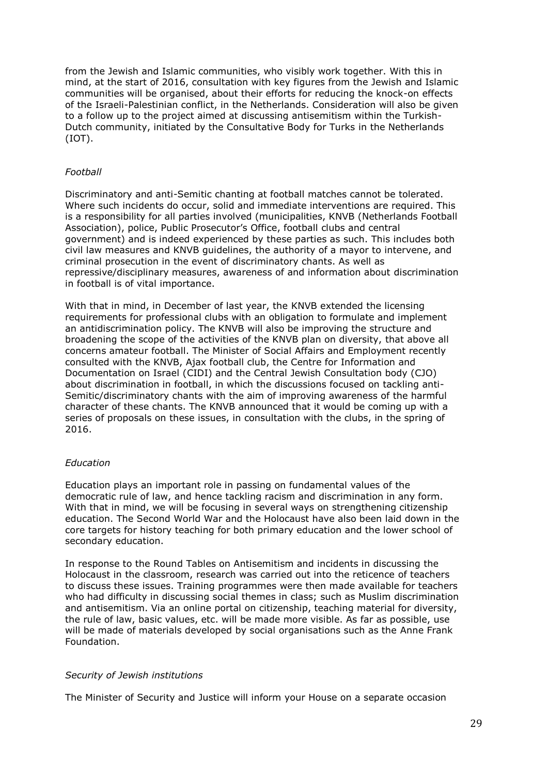from the Jewish and Islamic communities, who visibly work together. With this in mind, at the start of 2016, consultation with key figures from the Jewish and Islamic communities will be organised, about their efforts for reducing the knock-on effects of the Israeli-Palestinian conflict, in the Netherlands. Consideration will also be given to a follow up to the project aimed at discussing antisemitism within the Turkish-Dutch community, initiated by the Consultative Body for Turks in the Netherlands (IOT).

## *Football*

Discriminatory and anti-Semitic chanting at football matches cannot be tolerated. Where such incidents do occur, solid and immediate interventions are required. This is a responsibility for all parties involved (municipalities, KNVB (Netherlands Football Association), police, Public Prosecutor's Office, football clubs and central government) and is indeed experienced by these parties as such. This includes both civil law measures and KNVB guidelines, the authority of a mayor to intervene, and criminal prosecution in the event of discriminatory chants. As well as repressive/disciplinary measures, awareness of and information about discrimination in football is of vital importance.

With that in mind, in December of last year, the KNVB extended the licensing requirements for professional clubs with an obligation to formulate and implement an antidiscrimination policy. The KNVB will also be improving the structure and broadening the scope of the activities of the KNVB plan on diversity, that above all concerns amateur football. The Minister of Social Affairs and Employment recently consulted with the KNVB, Ajax football club, the Centre for Information and Documentation on Israel (CIDI) and the Central Jewish Consultation body (CJO) about discrimination in football, in which the discussions focused on tackling anti-Semitic/discriminatory chants with the aim of improving awareness of the harmful character of these chants. The KNVB announced that it would be coming up with a series of proposals on these issues, in consultation with the clubs, in the spring of 2016.

### *Education*

Education plays an important role in passing on fundamental values of the democratic rule of law, and hence tackling racism and discrimination in any form. With that in mind, we will be focusing in several ways on strengthening citizenship education. The Second World War and the Holocaust have also been laid down in the core targets for history teaching for both primary education and the lower school of secondary education.

In response to the Round Tables on Antisemitism and incidents in discussing the Holocaust in the classroom, research was carried out into the reticence of teachers to discuss these issues. Training programmes were then made available for teachers who had difficulty in discussing social themes in class; such as Muslim discrimination and antisemitism. Via an online portal on citizenship, teaching material for diversity, the rule of law, basic values, etc. will be made more visible. As far as possible, use will be made of materials developed by social organisations such as the Anne Frank Foundation.

### *Security of Jewish institutions*

The Minister of Security and Justice will inform your House on a separate occasion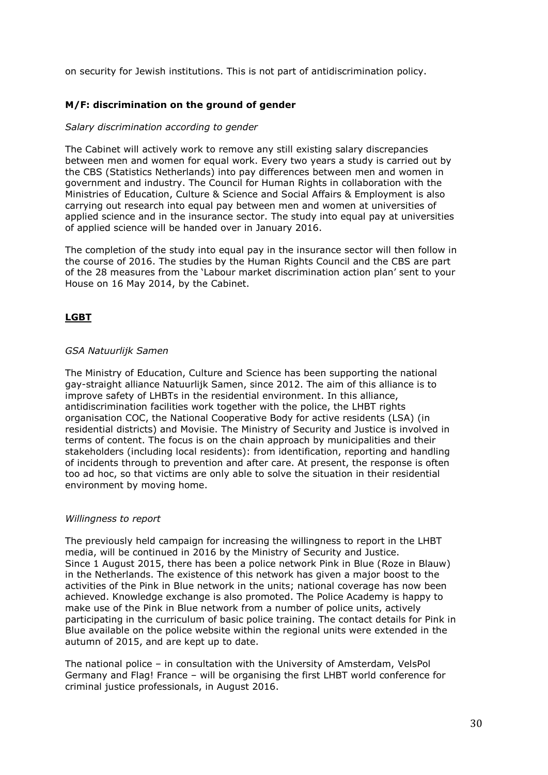on security for Jewish institutions. This is not part of antidiscrimination policy.

# **M/F: discrimination on the ground of gender**

### *Salary discrimination according to gender*

The Cabinet will actively work to remove any still existing salary discrepancies between men and women for equal work. Every two years a study is carried out by the CBS (Statistics Netherlands) into pay differences between men and women in government and industry. The Council for Human Rights in collaboration with the Ministries of Education, Culture & Science and Social Affairs & Employment is also carrying out research into equal pay between men and women at universities of applied science and in the insurance sector. The study into equal pay at universities of applied science will be handed over in January 2016.

The completion of the study into equal pay in the insurance sector will then follow in the course of 2016. The studies by the Human Rights Council and the CBS are part of the 28 measures from the 'Labour market discrimination action plan' sent to your House on 16 May 2014, by the Cabinet.

# **LGBT**

### *GSA Natuurlijk Samen*

The Ministry of Education, Culture and Science has been supporting the national gay-straight alliance Natuurlijk Samen, since 2012. The aim of this alliance is to improve safety of LHBTs in the residential environment. In this alliance, antidiscrimination facilities work together with the police, the LHBT rights organisation COC, the National Cooperative Body for active residents (LSA) (in residential districts) and Movisie. The Ministry of Security and Justice is involved in terms of content. The focus is on the chain approach by municipalities and their stakeholders (including local residents): from identification, reporting and handling of incidents through to prevention and after care. At present, the response is often too ad hoc, so that victims are only able to solve the situation in their residential environment by moving home.

### *Willingness to report*

The previously held campaign for increasing the willingness to report in the LHBT media, will be continued in 2016 by the Ministry of Security and Justice. Since 1 August 2015, there has been a police network Pink in Blue (Roze in Blauw) in the Netherlands. The existence of this network has given a major boost to the activities of the Pink in Blue network in the units; national coverage has now been achieved. Knowledge exchange is also promoted. The Police Academy is happy to make use of the Pink in Blue network from a number of police units, actively participating in the curriculum of basic police training. The contact details for Pink in Blue available on the police website within the regional units were extended in the autumn of 2015, and are kept up to date.

The national police – in consultation with the University of Amsterdam, VelsPol Germany and Flag! France – will be organising the first LHBT world conference for criminal justice professionals, in August 2016.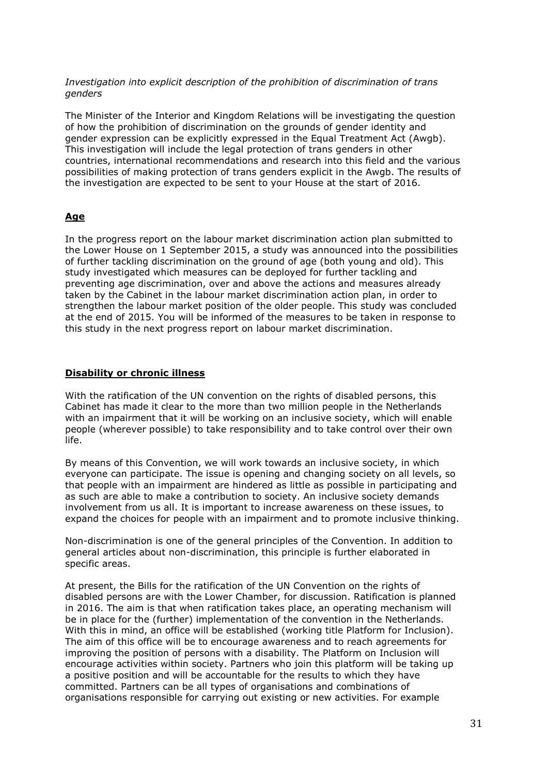*Investigation into explicit description of the prohibition of discrimination of trans genders*

The Minister of the Interior and Kingdom Relations will be investigating the question of how the prohibition of discrimination on the grounds of gender identity and gender expression can be explicitly expressed in the Equal Treatment Act (Awgb). This investigation will include the legal protection of trans genders in other countries, international recommendations and research into this field and the various possibilities of making protection of trans genders explicit in the Awgb. The results of the investigation are expected to be sent to your House at the start of 2016.

### **Age**

In the progress report on the labour market discrimination action plan submitted to the Lower House on 1 September 2015, a study was announced into the possibilities of further tackling discrimination on the ground of age (both young and old). This study investigated which measures can be deployed for further tackling and preventing age discrimination, over and above the actions and measures already taken by the Cabinet in the labour market discrimination action plan, in order to strengthen the labour market position of the older people. This study was concluded at the end of 2015. You will be informed of the measures to be taken in response to this study in the next progress report on labour market discrimination.

#### **Disability or chronic illness**

With the ratification of the UN convention on the rights of disabled persons, this Cabinet has made it clear to the more than two million people in the Netherlands with an impairment that it will be working on an inclusive society, which will enable people (wherever possible) to take responsibility and to take control over their own life.

By means of this Convention, we will work towards an inclusive society, in which everyone can participate. The issue is opening and changing society on all levels, so that people with an impairment are hindered as little as possible in participating and as such are able to make a contribution to society. An inclusive society demands involvement from us all. It is important to increase awareness on these issues, to expand the choices for people with an impairment and to promote inclusive thinking.

Non-discrimination is one of the general principles of the Convention. In addition to general articles about non-discrimination, this principle is further elaborated in specific areas.

At present, the Bills for the ratification of the UN Convention on the rights of disabled persons are with the Lower Chamber, for discussion. Ratification is planned in 2016. The aim is that when ratification takes place, an operating mechanism will be in place for the (further) implementation of the convention in the Netherlands. With this in mind, an office will be established (working title Platform for Inclusion). The aim of this office will be to encourage awareness and to reach agreements for improving the position of persons with a disability. The Platform on Inclusion will encourage activities within society. Partners who join this platform will be taking up a positive position and will be accountable for the results to which they have committed. Partners can be all types of organisations and combinations of organisations responsible for carrying out existing or new activities. For example